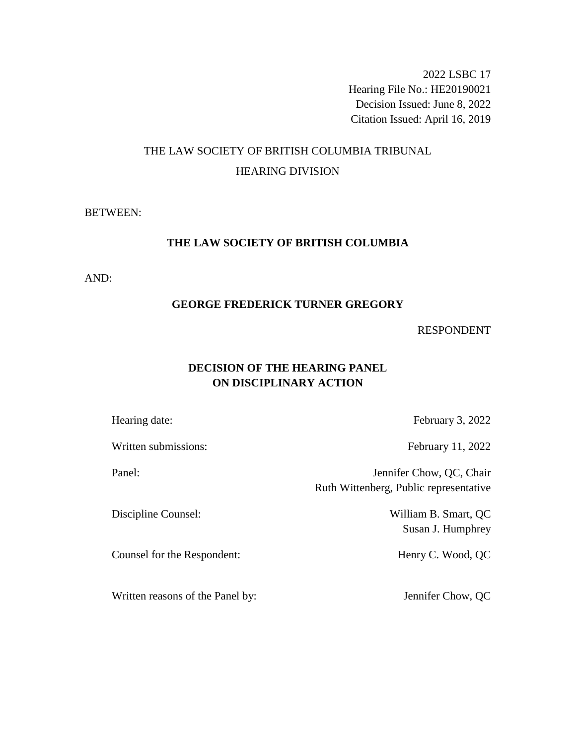2022 LSBC 17 Hearing File No.: HE20190021 Decision Issued: June 8, 2022 Citation Issued: April 16, 2019

# THE LAW SOCIETY OF BRITISH COLUMBIA TRIBUNAL HEARING DIVISION

### BETWEEN:

## **THE LAW SOCIETY OF BRITISH COLUMBIA**

AND:

#### **GEORGE FREDERICK TURNER GREGORY**

### RESPONDENT

# **DECISION OF THE HEARING PANEL ON DISCIPLINARY ACTION**

Written submissions: February 11, 2022

Counsel for the Respondent: Henry C. Wood, QC

Written reasons of the Panel by: Jennifer Chow, QC

Hearing date: February 3, 2022

Panel: Jennifer Chow, QC, Chair Ruth Wittenberg, Public representative

Discipline Counsel: William B. Smart, QC Susan J. Humphrey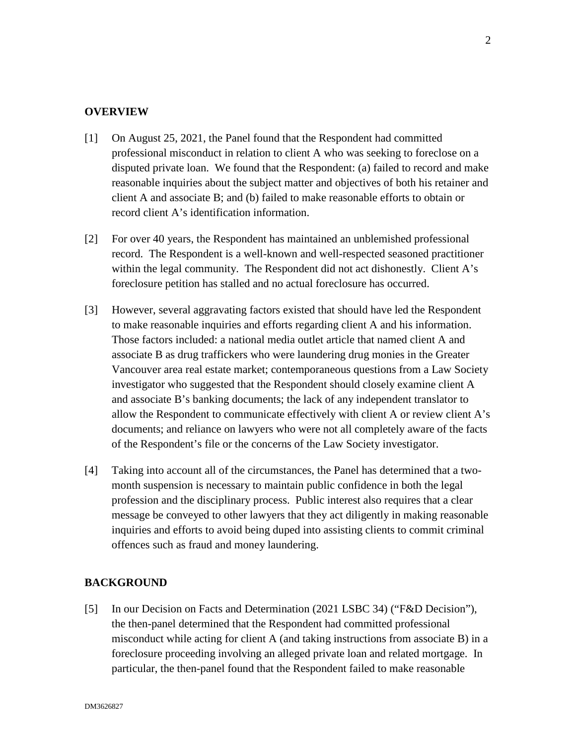### **OVERVIEW**

- [1] On August 25, 2021, the Panel found that the Respondent had committed professional misconduct in relation to client A who was seeking to foreclose on a disputed private loan. We found that the Respondent: (a) failed to record and make reasonable inquiries about the subject matter and objectives of both his retainer and client A and associate B; and (b) failed to make reasonable efforts to obtain or record client A's identification information.
- [2] For over 40 years, the Respondent has maintained an unblemished professional record. The Respondent is a well-known and well-respected seasoned practitioner within the legal community. The Respondent did not act dishonestly. Client A's foreclosure petition has stalled and no actual foreclosure has occurred.
- [3] However, several aggravating factors existed that should have led the Respondent to make reasonable inquiries and efforts regarding client A and his information. Those factors included: a national media outlet article that named client A and associate B as drug traffickers who were laundering drug monies in the Greater Vancouver area real estate market; contemporaneous questions from a Law Society investigator who suggested that the Respondent should closely examine client A and associate B's banking documents; the lack of any independent translator to allow the Respondent to communicate effectively with client A or review client A's documents; and reliance on lawyers who were not all completely aware of the facts of the Respondent's file or the concerns of the Law Society investigator.
- [4] Taking into account all of the circumstances, the Panel has determined that a twomonth suspension is necessary to maintain public confidence in both the legal profession and the disciplinary process. Public interest also requires that a clear message be conveyed to other lawyers that they act diligently in making reasonable inquiries and efforts to avoid being duped into assisting clients to commit criminal offences such as fraud and money laundering.

### **BACKGROUND**

[5] In our Decision on Facts and Determination (2021 LSBC 34) ("F&D Decision"), the then-panel determined that the Respondent had committed professional misconduct while acting for client A (and taking instructions from associate B) in a foreclosure proceeding involving an alleged private loan and related mortgage. In particular, the then-panel found that the Respondent failed to make reasonable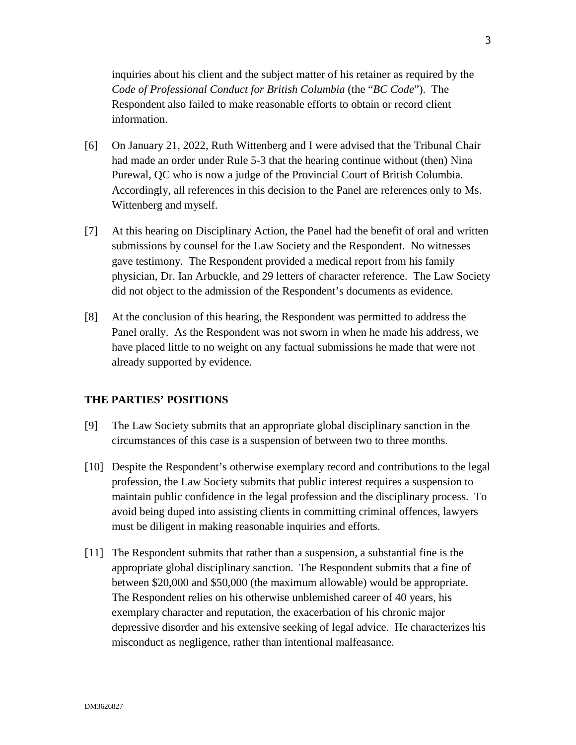inquiries about his client and the subject matter of his retainer as required by the *Code of Professional Conduct for British Columbia* (the "*BC Code*"). The Respondent also failed to make reasonable efforts to obtain or record client information.

- [6] On January 21, 2022, Ruth Wittenberg and I were advised that the Tribunal Chair had made an order under Rule 5-3 that the hearing continue without (then) Nina Purewal, QC who is now a judge of the Provincial Court of British Columbia. Accordingly, all references in this decision to the Panel are references only to Ms. Wittenberg and myself.
- [7] At this hearing on Disciplinary Action, the Panel had the benefit of oral and written submissions by counsel for the Law Society and the Respondent. No witnesses gave testimony. The Respondent provided a medical report from his family physician, Dr. Ian Arbuckle, and 29 letters of character reference. The Law Society did not object to the admission of the Respondent's documents as evidence.
- [8] At the conclusion of this hearing, the Respondent was permitted to address the Panel orally. As the Respondent was not sworn in when he made his address, we have placed little to no weight on any factual submissions he made that were not already supported by evidence.

### **THE PARTIES' POSITIONS**

- [9] The Law Society submits that an appropriate global disciplinary sanction in the circumstances of this case is a suspension of between two to three months.
- [10] Despite the Respondent's otherwise exemplary record and contributions to the legal profession, the Law Society submits that public interest requires a suspension to maintain public confidence in the legal profession and the disciplinary process. To avoid being duped into assisting clients in committing criminal offences, lawyers must be diligent in making reasonable inquiries and efforts.
- [11] The Respondent submits that rather than a suspension, a substantial fine is the appropriate global disciplinary sanction. The Respondent submits that a fine of between \$20,000 and \$50,000 (the maximum allowable) would be appropriate. The Respondent relies on his otherwise unblemished career of 40 years, his exemplary character and reputation, the exacerbation of his chronic major depressive disorder and his extensive seeking of legal advice. He characterizes his misconduct as negligence, rather than intentional malfeasance.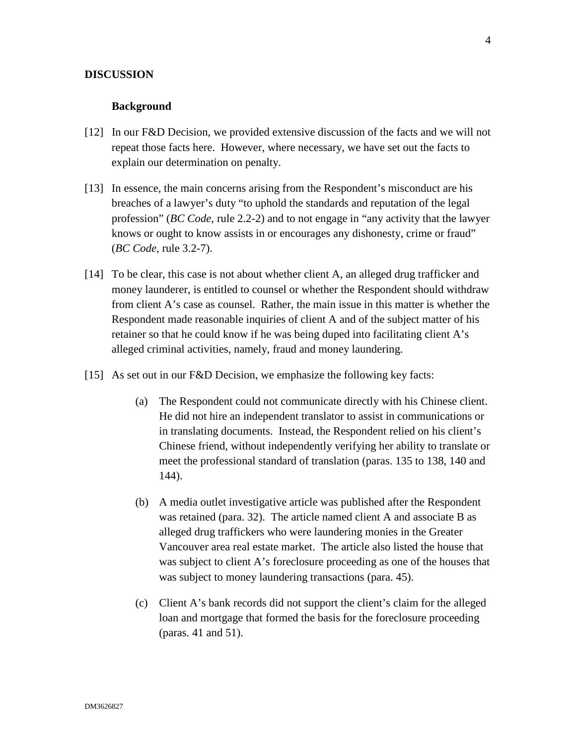#### **DISCUSSION**

#### **Background**

- [12] In our F&D Decision, we provided extensive discussion of the facts and we will not repeat those facts here. However, where necessary, we have set out the facts to explain our determination on penalty.
- [13] In essence, the main concerns arising from the Respondent's misconduct are his breaches of a lawyer's duty "to uphold the standards and reputation of the legal profession" (*BC Code*, rule 2.2-2) and to not engage in "any activity that the lawyer knows or ought to know assists in or encourages any dishonesty, crime or fraud" (*BC Code*, rule 3.2-7).
- [14] To be clear, this case is not about whether client A, an alleged drug trafficker and money launderer, is entitled to counsel or whether the Respondent should withdraw from client A's case as counsel. Rather, the main issue in this matter is whether the Respondent made reasonable inquiries of client A and of the subject matter of his retainer so that he could know if he was being duped into facilitating client A's alleged criminal activities, namely, fraud and money laundering.
- [15] As set out in our F&D Decision, we emphasize the following key facts:
	- (a) The Respondent could not communicate directly with his Chinese client. He did not hire an independent translator to assist in communications or in translating documents. Instead, the Respondent relied on his client's Chinese friend, without independently verifying her ability to translate or meet the professional standard of translation (paras. 135 to 138, 140 and 144).
	- (b) A media outlet investigative article was published after the Respondent was retained (para. 32). The article named client A and associate B as alleged drug traffickers who were laundering monies in the Greater Vancouver area real estate market. The article also listed the house that was subject to client A's foreclosure proceeding as one of the houses that was subject to money laundering transactions (para. 45).
	- (c) Client A's bank records did not support the client's claim for the alleged loan and mortgage that formed the basis for the foreclosure proceeding (paras. 41 and 51).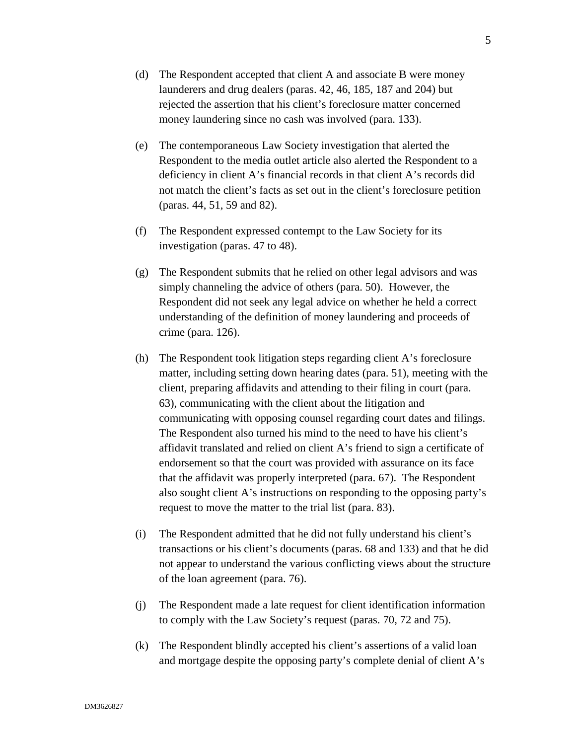- (d) The Respondent accepted that client A and associate B were money launderers and drug dealers (paras. 42, 46, 185, 187 and 204) but rejected the assertion that his client's foreclosure matter concerned money laundering since no cash was involved (para. 133).
- (e) The contemporaneous Law Society investigation that alerted the Respondent to the media outlet article also alerted the Respondent to a deficiency in client A's financial records in that client A's records did not match the client's facts as set out in the client's foreclosure petition (paras. 44, 51, 59 and 82).
- (f) The Respondent expressed contempt to the Law Society for its investigation (paras. 47 to 48).
- (g) The Respondent submits that he relied on other legal advisors and was simply channeling the advice of others (para. 50). However, the Respondent did not seek any legal advice on whether he held a correct understanding of the definition of money laundering and proceeds of crime (para. 126).
- (h) The Respondent took litigation steps regarding client A's foreclosure matter, including setting down hearing dates (para. 51), meeting with the client, preparing affidavits and attending to their filing in court (para. 63), communicating with the client about the litigation and communicating with opposing counsel regarding court dates and filings. The Respondent also turned his mind to the need to have his client's affidavit translated and relied on client A's friend to sign a certificate of endorsement so that the court was provided with assurance on its face that the affidavit was properly interpreted (para. 67). The Respondent also sought client A's instructions on responding to the opposing party's request to move the matter to the trial list (para. 83).
- (i) The Respondent admitted that he did not fully understand his client's transactions or his client's documents (paras. 68 and 133) and that he did not appear to understand the various conflicting views about the structure of the loan agreement (para. 76).
- (j) The Respondent made a late request for client identification information to comply with the Law Society's request (paras. 70, 72 and 75).
- (k) The Respondent blindly accepted his client's assertions of a valid loan and mortgage despite the opposing party's complete denial of client A's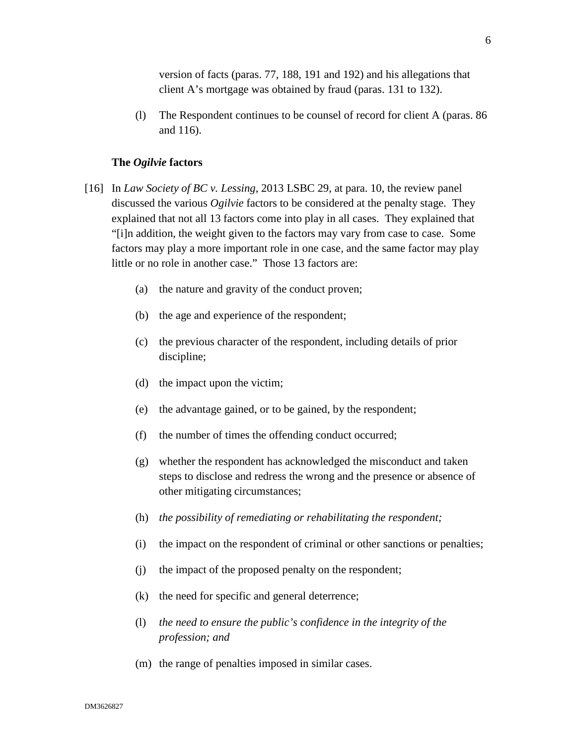version of facts (paras. 77, 188, 191 and 192) and his allegations that client A's mortgage was obtained by fraud (paras. 131 to 132).

(l) The Respondent continues to be counsel of record for client A (paras. 86 and 116).

### **The** *Ogilvie* **factors**

- [16] In *Law Society of BC v. Lessing*, 2013 LSBC 29, at para. 10, the review panel discussed the various *Ogilvie* factors to be considered at the penalty stage. They explained that not all 13 factors come into play in all cases. They explained that "[i]n addition, the weight given to the factors may vary from case to case. Some factors may play a more important role in one case, and the same factor may play little or no role in another case." Those 13 factors are:
	- (a) the nature and gravity of the conduct proven;
	- (b) the age and experience of the respondent;
	- (c) the previous character of the respondent, including details of prior discipline;
	- (d) the impact upon the victim;
	- (e) the advantage gained, or to be gained, by the respondent;
	- (f) the number of times the offending conduct occurred;
	- (g) whether the respondent has acknowledged the misconduct and taken steps to disclose and redress the wrong and the presence or absence of other mitigating circumstances;
	- (h) *the possibility of remediating or rehabilitating the respondent;*
	- (i) the impact on the respondent of criminal or other sanctions or penalties;
	- (j) the impact of the proposed penalty on the respondent;
	- (k) the need for specific and general deterrence;
	- (l) *the need to ensure the public's confidence in the integrity of the profession; and*
	- (m) the range of penalties imposed in similar cases.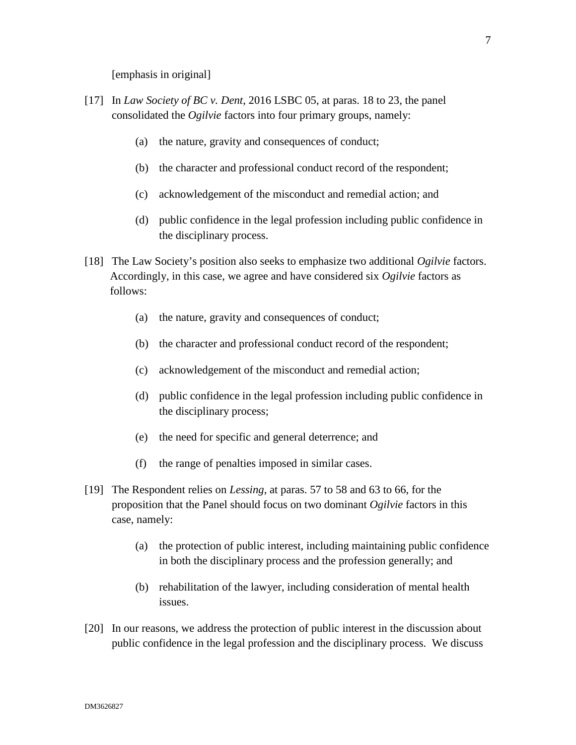[emphasis in original]

- [17] In *Law Society of BC v. Dent*, 2016 LSBC 05, at paras. 18 to 23, the panel consolidated the *Ogilvie* factors into four primary groups, namely:
	- (a) the nature, gravity and consequences of conduct;
	- (b) the character and professional conduct record of the respondent;
	- (c) acknowledgement of the misconduct and remedial action; and
	- (d) public confidence in the legal profession including public confidence in the disciplinary process.
- [18] The Law Society's position also seeks to emphasize two additional *Ogilvie* factors. Accordingly, in this case, we agree and have considered six *Ogilvie* factors as follows:
	- (a) the nature, gravity and consequences of conduct;
	- (b) the character and professional conduct record of the respondent;
	- (c) acknowledgement of the misconduct and remedial action;
	- (d) public confidence in the legal profession including public confidence in the disciplinary process;
	- (e) the need for specific and general deterrence; and
	- (f) the range of penalties imposed in similar cases.
- [19] The Respondent relies on *Lessing*, at paras. 57 to 58 and 63 to 66, for the proposition that the Panel should focus on two dominant *Ogilvie* factors in this case, namely:
	- (a) the protection of public interest, including maintaining public confidence in both the disciplinary process and the profession generally; and
	- (b) rehabilitation of the lawyer, including consideration of mental health issues.
- [20] In our reasons, we address the protection of public interest in the discussion about public confidence in the legal profession and the disciplinary process. We discuss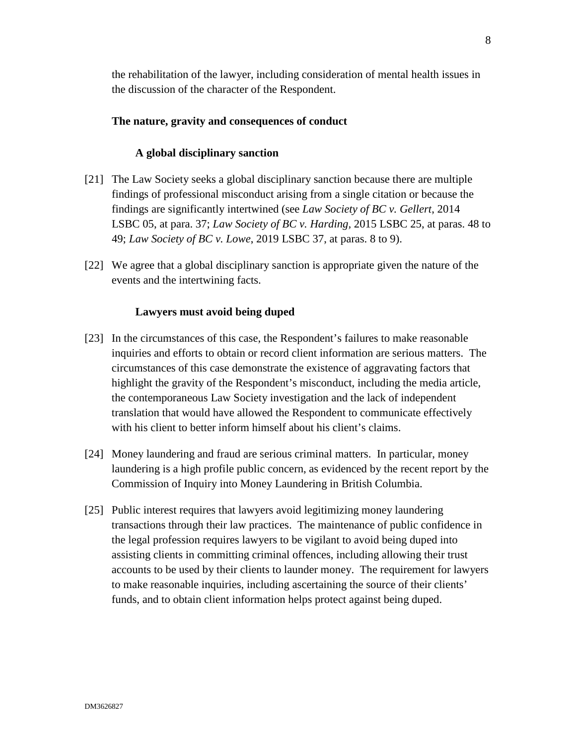the rehabilitation of the lawyer, including consideration of mental health issues in the discussion of the character of the Respondent.

### **The nature, gravity and consequences of conduct**

### **A global disciplinary sanction**

- [21] The Law Society seeks a global disciplinary sanction because there are multiple findings of professional misconduct arising from a single citation or because the findings are significantly intertwined (see *Law Society of BC v. Gellert*, 2014 LSBC 05, at para. 37; *Law Society of BC v. Harding,* 2015 LSBC 25, at paras. 48 to 49; *Law Society of BC v. Lowe*, 2019 LSBC 37, at paras. 8 to 9).
- [22] We agree that a global disciplinary sanction is appropriate given the nature of the events and the intertwining facts.

### **Lawyers must avoid being duped**

- [23] In the circumstances of this case, the Respondent's failures to make reasonable inquiries and efforts to obtain or record client information are serious matters. The circumstances of this case demonstrate the existence of aggravating factors that highlight the gravity of the Respondent's misconduct, including the media article, the contemporaneous Law Society investigation and the lack of independent translation that would have allowed the Respondent to communicate effectively with his client to better inform himself about his client's claims.
- [24] Money laundering and fraud are serious criminal matters. In particular, money laundering is a high profile public concern, as evidenced by the recent report by the Commission of Inquiry into Money Laundering in British Columbia.
- [25] Public interest requires that lawyers avoid legitimizing money laundering transactions through their law practices. The maintenance of public confidence in the legal profession requires lawyers to be vigilant to avoid being duped into assisting clients in committing criminal offences, including allowing their trust accounts to be used by their clients to launder money. The requirement for lawyers to make reasonable inquiries, including ascertaining the source of their clients' funds, and to obtain client information helps protect against being duped.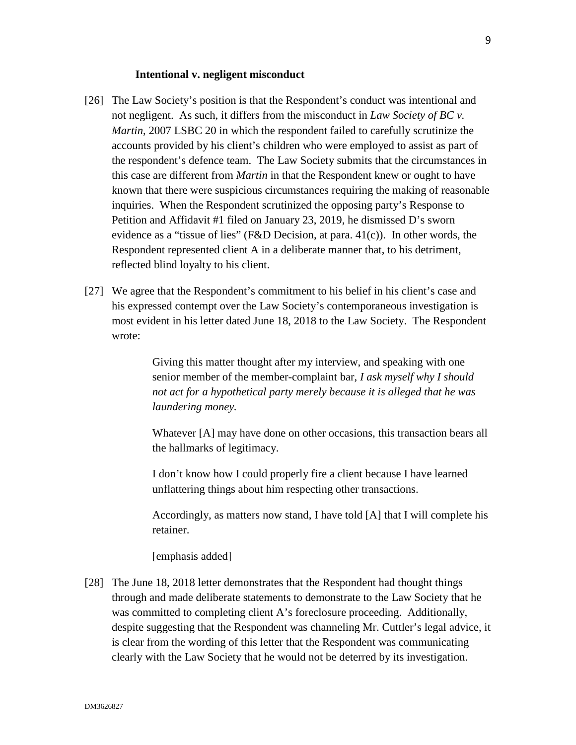#### **Intentional v. negligent misconduct**

- [26] The Law Society's position is that the Respondent's conduct was intentional and not negligent. As such, it differs from the misconduct in *Law Society of BC v. Martin*, 2007 LSBC 20 in which the respondent failed to carefully scrutinize the accounts provided by his client's children who were employed to assist as part of the respondent's defence team. The Law Society submits that the circumstances in this case are different from *Martin* in that the Respondent knew or ought to have known that there were suspicious circumstances requiring the making of reasonable inquiries. When the Respondent scrutinized the opposing party's Response to Petition and Affidavit #1 filed on January 23, 2019, he dismissed D's sworn evidence as a "tissue of lies" (F&D Decision, at para.  $41(c)$ ). In other words, the Respondent represented client A in a deliberate manner that, to his detriment, reflected blind loyalty to his client.
- [27] We agree that the Respondent's commitment to his belief in his client's case and his expressed contempt over the Law Society's contemporaneous investigation is most evident in his letter dated June 18, 2018 to the Law Society. The Respondent wrote:

Giving this matter thought after my interview, and speaking with one senior member of the member-complaint bar, *I ask myself why I should not act for a hypothetical party merely because it is alleged that he was laundering money.* 

Whatever [A] may have done on other occasions, this transaction bears all the hallmarks of legitimacy.

I don't know how I could properly fire a client because I have learned unflattering things about him respecting other transactions.

Accordingly, as matters now stand, I have told [A] that I will complete his retainer.

[emphasis added]

[28] The June 18, 2018 letter demonstrates that the Respondent had thought things through and made deliberate statements to demonstrate to the Law Society that he was committed to completing client A's foreclosure proceeding. Additionally, despite suggesting that the Respondent was channeling Mr. Cuttler's legal advice, it is clear from the wording of this letter that the Respondent was communicating clearly with the Law Society that he would not be deterred by its investigation.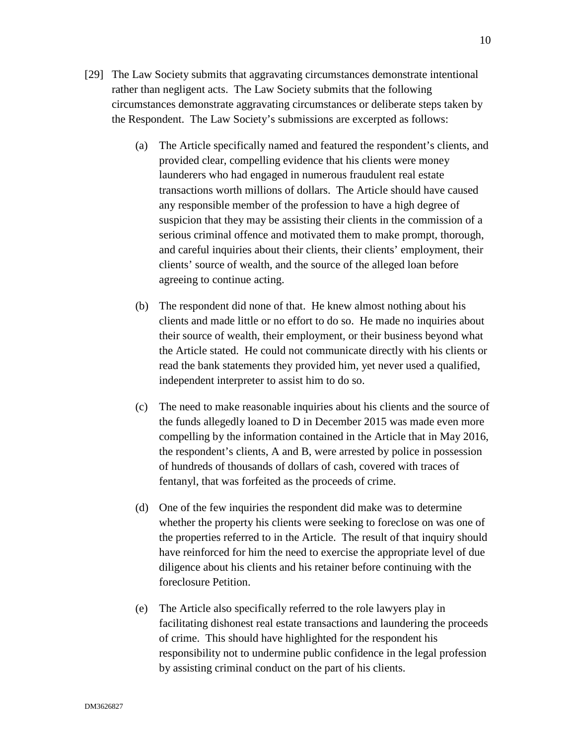- [29] The Law Society submits that aggravating circumstances demonstrate intentional rather than negligent acts. The Law Society submits that the following circumstances demonstrate aggravating circumstances or deliberate steps taken by the Respondent. The Law Society's submissions are excerpted as follows:
	- (a) The Article specifically named and featured the respondent's clients, and provided clear, compelling evidence that his clients were money launderers who had engaged in numerous fraudulent real estate transactions worth millions of dollars. The Article should have caused any responsible member of the profession to have a high degree of suspicion that they may be assisting their clients in the commission of a serious criminal offence and motivated them to make prompt, thorough, and careful inquiries about their clients, their clients' employment, their clients' source of wealth, and the source of the alleged loan before agreeing to continue acting.
	- (b) The respondent did none of that. He knew almost nothing about his clients and made little or no effort to do so. He made no inquiries about their source of wealth, their employment, or their business beyond what the Article stated. He could not communicate directly with his clients or read the bank statements they provided him, yet never used a qualified, independent interpreter to assist him to do so.
	- (c) The need to make reasonable inquiries about his clients and the source of the funds allegedly loaned to D in December 2015 was made even more compelling by the information contained in the Article that in May 2016, the respondent's clients, A and B, were arrested by police in possession of hundreds of thousands of dollars of cash, covered with traces of fentanyl, that was forfeited as the proceeds of crime.
	- (d) One of the few inquiries the respondent did make was to determine whether the property his clients were seeking to foreclose on was one of the properties referred to in the Article. The result of that inquiry should have reinforced for him the need to exercise the appropriate level of due diligence about his clients and his retainer before continuing with the foreclosure Petition.
	- (e) The Article also specifically referred to the role lawyers play in facilitating dishonest real estate transactions and laundering the proceeds of crime. This should have highlighted for the respondent his responsibility not to undermine public confidence in the legal profession by assisting criminal conduct on the part of his clients.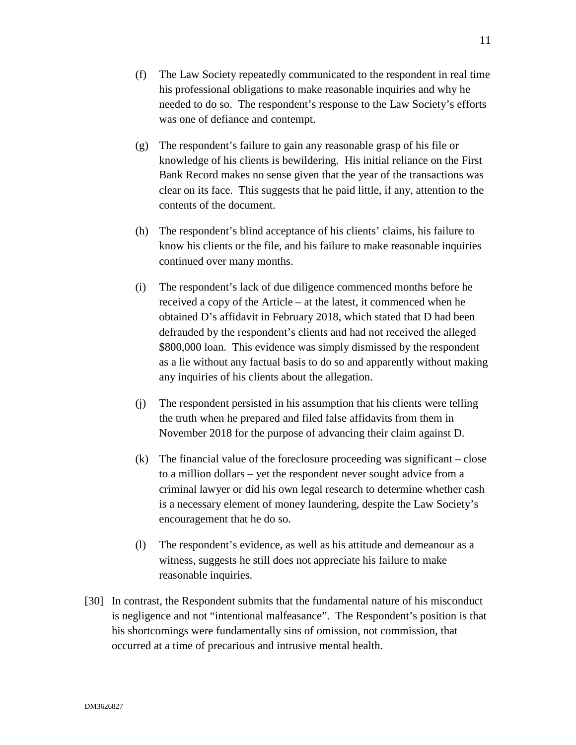- (f) The Law Society repeatedly communicated to the respondent in real time his professional obligations to make reasonable inquiries and why he needed to do so. The respondent's response to the Law Society's efforts was one of defiance and contempt.
- (g) The respondent's failure to gain any reasonable grasp of his file or knowledge of his clients is bewildering. His initial reliance on the First Bank Record makes no sense given that the year of the transactions was clear on its face. This suggests that he paid little, if any, attention to the contents of the document.
- (h) The respondent's blind acceptance of his clients' claims, his failure to know his clients or the file, and his failure to make reasonable inquiries continued over many months.
- (i) The respondent's lack of due diligence commenced months before he received a copy of the Article – at the latest, it commenced when he obtained D's affidavit in February 2018, which stated that D had been defrauded by the respondent's clients and had not received the alleged \$800,000 loan. This evidence was simply dismissed by the respondent as a lie without any factual basis to do so and apparently without making any inquiries of his clients about the allegation.
- (j) The respondent persisted in his assumption that his clients were telling the truth when he prepared and filed false affidavits from them in November 2018 for the purpose of advancing their claim against D.
- (k) The financial value of the foreclosure proceeding was significant close to a million dollars – yet the respondent never sought advice from a criminal lawyer or did his own legal research to determine whether cash is a necessary element of money laundering, despite the Law Society's encouragement that he do so.
- (l) The respondent's evidence, as well as his attitude and demeanour as a witness, suggests he still does not appreciate his failure to make reasonable inquiries.
- [30] In contrast, the Respondent submits that the fundamental nature of his misconduct is negligence and not "intentional malfeasance". The Respondent's position is that his shortcomings were fundamentally sins of omission, not commission, that occurred at a time of precarious and intrusive mental health.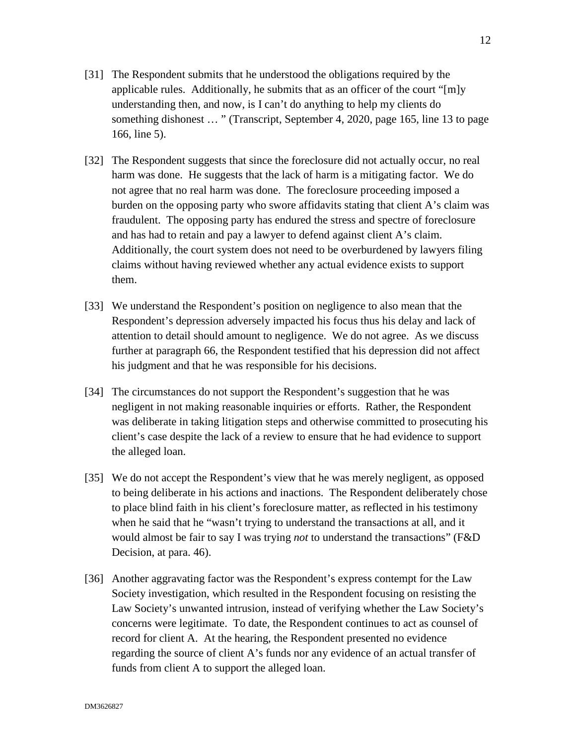- [31] The Respondent submits that he understood the obligations required by the applicable rules. Additionally, he submits that as an officer of the court "[m]y understanding then, and now, is I can't do anything to help my clients do something dishonest … " (Transcript, September 4, 2020, page 165, line 13 to page 166, line 5).
- [32] The Respondent suggests that since the foreclosure did not actually occur, no real harm was done. He suggests that the lack of harm is a mitigating factor. We do not agree that no real harm was done. The foreclosure proceeding imposed a burden on the opposing party who swore affidavits stating that client A's claim was fraudulent. The opposing party has endured the stress and spectre of foreclosure and has had to retain and pay a lawyer to defend against client A's claim. Additionally, the court system does not need to be overburdened by lawyers filing claims without having reviewed whether any actual evidence exists to support them.
- [33] We understand the Respondent's position on negligence to also mean that the Respondent's depression adversely impacted his focus thus his delay and lack of attention to detail should amount to negligence. We do not agree. As we discuss further at paragraph 66, the Respondent testified that his depression did not affect his judgment and that he was responsible for his decisions.
- [34] The circumstances do not support the Respondent's suggestion that he was negligent in not making reasonable inquiries or efforts. Rather, the Respondent was deliberate in taking litigation steps and otherwise committed to prosecuting his client's case despite the lack of a review to ensure that he had evidence to support the alleged loan.
- [35] We do not accept the Respondent's view that he was merely negligent, as opposed to being deliberate in his actions and inactions. The Respondent deliberately chose to place blind faith in his client's foreclosure matter, as reflected in his testimony when he said that he "wasn't trying to understand the transactions at all, and it would almost be fair to say I was trying *not* to understand the transactions" (F&D Decision, at para. 46).
- [36] Another aggravating factor was the Respondent's express contempt for the Law Society investigation, which resulted in the Respondent focusing on resisting the Law Society's unwanted intrusion, instead of verifying whether the Law Society's concerns were legitimate. To date, the Respondent continues to act as counsel of record for client A. At the hearing, the Respondent presented no evidence regarding the source of client A's funds nor any evidence of an actual transfer of funds from client A to support the alleged loan.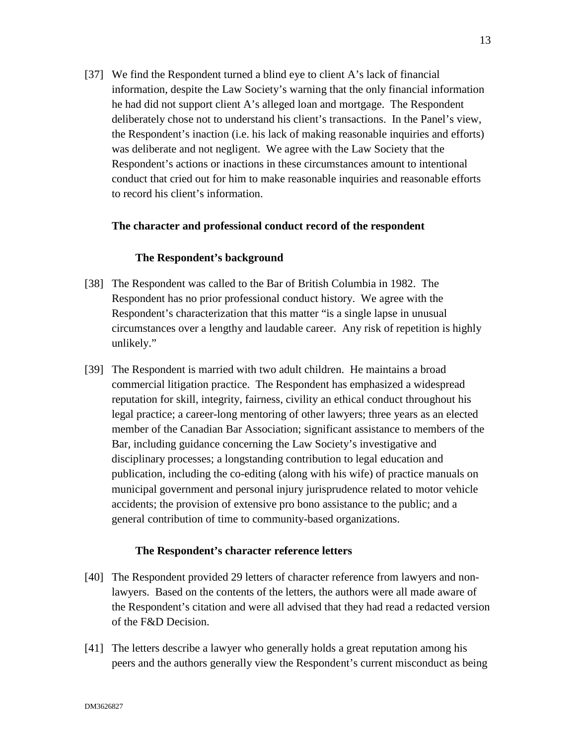[37] We find the Respondent turned a blind eye to client A's lack of financial information, despite the Law Society's warning that the only financial information he had did not support client A's alleged loan and mortgage. The Respondent deliberately chose not to understand his client's transactions. In the Panel's view, the Respondent's inaction (i.e. his lack of making reasonable inquiries and efforts) was deliberate and not negligent. We agree with the Law Society that the Respondent's actions or inactions in these circumstances amount to intentional conduct that cried out for him to make reasonable inquiries and reasonable efforts to record his client's information.

#### **The character and professional conduct record of the respondent**

#### **The Respondent's background**

- [38] The Respondent was called to the Bar of British Columbia in 1982. The Respondent has no prior professional conduct history. We agree with the Respondent's characterization that this matter "is a single lapse in unusual circumstances over a lengthy and laudable career. Any risk of repetition is highly unlikely."
- [39] The Respondent is married with two adult children. He maintains a broad commercial litigation practice. The Respondent has emphasized a widespread reputation for skill, integrity, fairness, civility an ethical conduct throughout his legal practice; a career-long mentoring of other lawyers; three years as an elected member of the Canadian Bar Association; significant assistance to members of the Bar, including guidance concerning the Law Society's investigative and disciplinary processes; a longstanding contribution to legal education and publication, including the co-editing (along with his wife) of practice manuals on municipal government and personal injury jurisprudence related to motor vehicle accidents; the provision of extensive pro bono assistance to the public; and a general contribution of time to community-based organizations.

#### **The Respondent's character reference letters**

- [40] The Respondent provided 29 letters of character reference from lawyers and nonlawyers. Based on the contents of the letters, the authors were all made aware of the Respondent's citation and were all advised that they had read a redacted version of the F&D Decision.
- [41] The letters describe a lawyer who generally holds a great reputation among his peers and the authors generally view the Respondent's current misconduct as being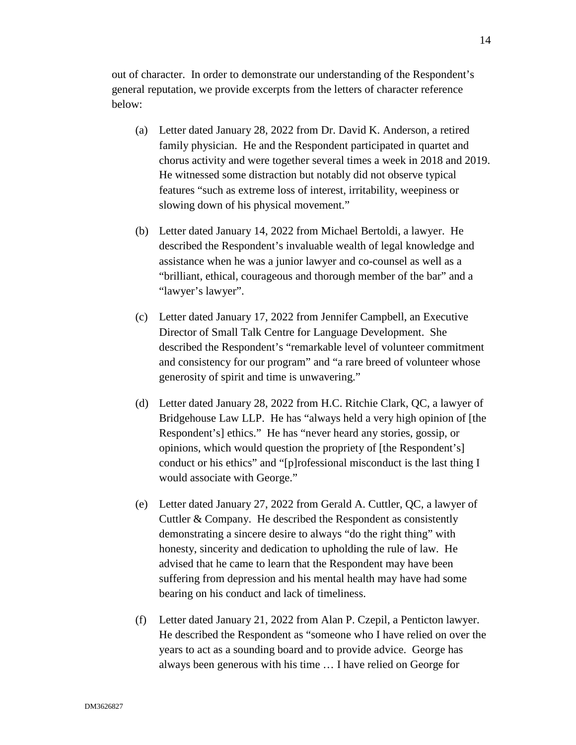out of character. In order to demonstrate our understanding of the Respondent's general reputation, we provide excerpts from the letters of character reference below:

- (a) Letter dated January 28, 2022 from Dr. David K. Anderson, a retired family physician. He and the Respondent participated in quartet and chorus activity and were together several times a week in 2018 and 2019. He witnessed some distraction but notably did not observe typical features "such as extreme loss of interest, irritability, weepiness or slowing down of his physical movement."
- (b) Letter dated January 14, 2022 from Michael Bertoldi, a lawyer. He described the Respondent's invaluable wealth of legal knowledge and assistance when he was a junior lawyer and co-counsel as well as a "brilliant, ethical, courageous and thorough member of the bar" and a "lawyer's lawyer".
- (c) Letter dated January 17, 2022 from Jennifer Campbell, an Executive Director of Small Talk Centre for Language Development. She described the Respondent's "remarkable level of volunteer commitment and consistency for our program" and "a rare breed of volunteer whose generosity of spirit and time is unwavering."
- (d) Letter dated January 28, 2022 from H.C. Ritchie Clark, QC, a lawyer of Bridgehouse Law LLP. He has "always held a very high opinion of [the Respondent's] ethics." He has "never heard any stories, gossip, or opinions, which would question the propriety of [the Respondent's] conduct or his ethics" and "[p]rofessional misconduct is the last thing I would associate with George."
- (e) Letter dated January 27, 2022 from Gerald A. Cuttler, QC, a lawyer of Cuttler & Company. He described the Respondent as consistently demonstrating a sincere desire to always "do the right thing" with honesty, sincerity and dedication to upholding the rule of law. He advised that he came to learn that the Respondent may have been suffering from depression and his mental health may have had some bearing on his conduct and lack of timeliness.
- (f) Letter dated January 21, 2022 from Alan P. Czepil, a Penticton lawyer. He described the Respondent as "someone who I have relied on over the years to act as a sounding board and to provide advice. George has always been generous with his time … I have relied on George for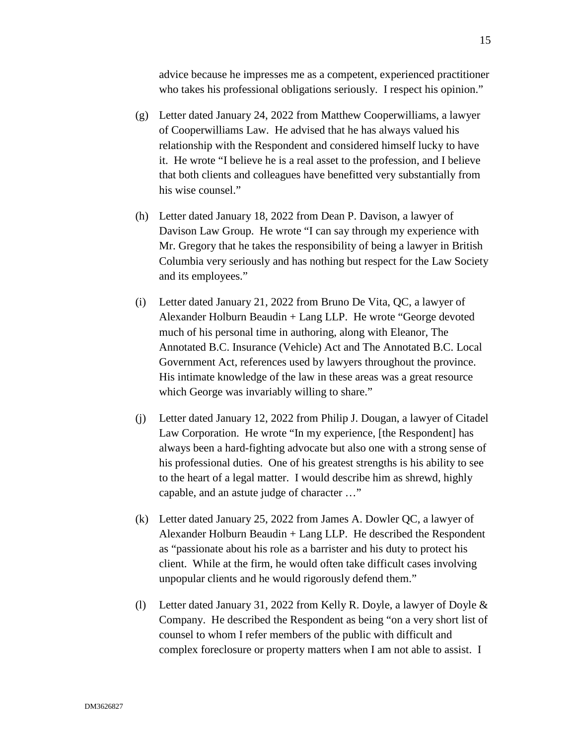advice because he impresses me as a competent, experienced practitioner who takes his professional obligations seriously. I respect his opinion."

- (g) Letter dated January 24, 2022 from Matthew Cooperwilliams, a lawyer of Cooperwilliams Law. He advised that he has always valued his relationship with the Respondent and considered himself lucky to have it. He wrote "I believe he is a real asset to the profession, and I believe that both clients and colleagues have benefitted very substantially from his wise counsel."
- (h) Letter dated January 18, 2022 from Dean P. Davison, a lawyer of Davison Law Group. He wrote "I can say through my experience with Mr. Gregory that he takes the responsibility of being a lawyer in British Columbia very seriously and has nothing but respect for the Law Society and its employees."
- (i) Letter dated January 21, 2022 from Bruno De Vita, QC, a lawyer of Alexander Holburn Beaudin + Lang LLP. He wrote "George devoted much of his personal time in authoring, along with Eleanor, The Annotated B.C. Insurance (Vehicle) Act and The Annotated B.C. Local Government Act, references used by lawyers throughout the province. His intimate knowledge of the law in these areas was a great resource which George was invariably willing to share."
- (j) Letter dated January 12, 2022 from Philip J. Dougan, a lawyer of Citadel Law Corporation. He wrote "In my experience, [the Respondent] has always been a hard-fighting advocate but also one with a strong sense of his professional duties. One of his greatest strengths is his ability to see to the heart of a legal matter. I would describe him as shrewd, highly capable, and an astute judge of character …"
- (k) Letter dated January 25, 2022 from James A. Dowler QC, a lawyer of Alexander Holburn Beaudin + Lang LLP. He described the Respondent as "passionate about his role as a barrister and his duty to protect his client. While at the firm, he would often take difficult cases involving unpopular clients and he would rigorously defend them."
- (l) Letter dated January 31, 2022 from Kelly R. Doyle, a lawyer of Doyle & Company. He described the Respondent as being "on a very short list of counsel to whom I refer members of the public with difficult and complex foreclosure or property matters when I am not able to assist. I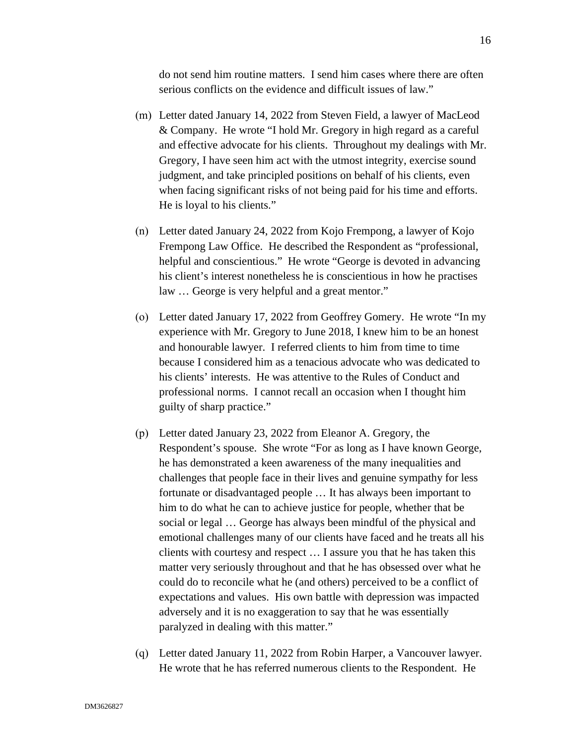do not send him routine matters. I send him cases where there are often serious conflicts on the evidence and difficult issues of law."

- (m) Letter dated January 14, 2022 from Steven Field, a lawyer of MacLeod & Company. He wrote "I hold Mr. Gregory in high regard as a careful and effective advocate for his clients. Throughout my dealings with Mr. Gregory, I have seen him act with the utmost integrity, exercise sound judgment, and take principled positions on behalf of his clients, even when facing significant risks of not being paid for his time and efforts. He is loyal to his clients."
- (n) Letter dated January 24, 2022 from Kojo Frempong, a lawyer of Kojo Frempong Law Office. He described the Respondent as "professional, helpful and conscientious." He wrote "George is devoted in advancing his client's interest nonetheless he is conscientious in how he practises law … George is very helpful and a great mentor."
- (o) Letter dated January 17, 2022 from Geoffrey Gomery. He wrote "In my experience with Mr. Gregory to June 2018, I knew him to be an honest and honourable lawyer. I referred clients to him from time to time because I considered him as a tenacious advocate who was dedicated to his clients' interests. He was attentive to the Rules of Conduct and professional norms. I cannot recall an occasion when I thought him guilty of sharp practice."
- (p) Letter dated January 23, 2022 from Eleanor A. Gregory, the Respondent's spouse. She wrote "For as long as I have known George, he has demonstrated a keen awareness of the many inequalities and challenges that people face in their lives and genuine sympathy for less fortunate or disadvantaged people … It has always been important to him to do what he can to achieve justice for people, whether that be social or legal … George has always been mindful of the physical and emotional challenges many of our clients have faced and he treats all his clients with courtesy and respect … I assure you that he has taken this matter very seriously throughout and that he has obsessed over what he could do to reconcile what he (and others) perceived to be a conflict of expectations and values. His own battle with depression was impacted adversely and it is no exaggeration to say that he was essentially paralyzed in dealing with this matter."
- (q) Letter dated January 11, 2022 from Robin Harper, a Vancouver lawyer. He wrote that he has referred numerous clients to the Respondent. He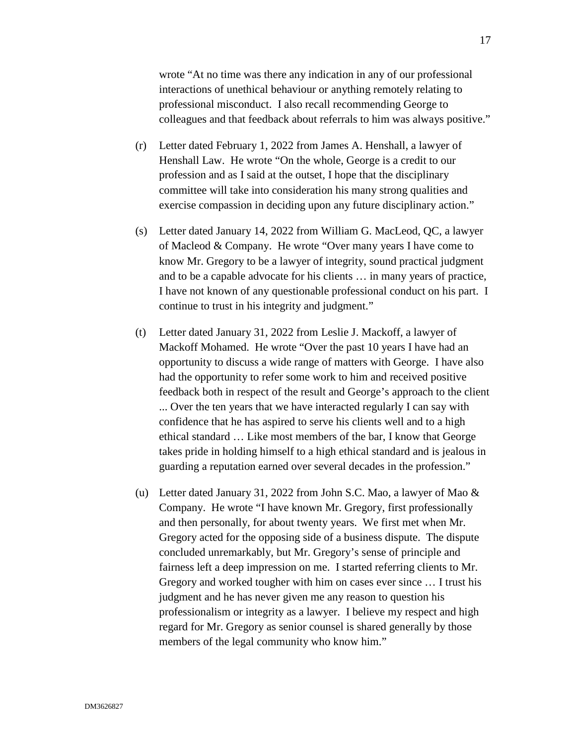wrote "At no time was there any indication in any of our professional interactions of unethical behaviour or anything remotely relating to professional misconduct. I also recall recommending George to colleagues and that feedback about referrals to him was always positive."

- (r) Letter dated February 1, 2022 from James A. Henshall, a lawyer of Henshall Law. He wrote "On the whole, George is a credit to our profession and as I said at the outset, I hope that the disciplinary committee will take into consideration his many strong qualities and exercise compassion in deciding upon any future disciplinary action."
- (s) Letter dated January 14, 2022 from William G. MacLeod, QC, a lawyer of Macleod & Company. He wrote "Over many years I have come to know Mr. Gregory to be a lawyer of integrity, sound practical judgment and to be a capable advocate for his clients … in many years of practice, I have not known of any questionable professional conduct on his part. I continue to trust in his integrity and judgment."
- (t) Letter dated January 31, 2022 from Leslie J. Mackoff, a lawyer of Mackoff Mohamed. He wrote "Over the past 10 years I have had an opportunity to discuss a wide range of matters with George. I have also had the opportunity to refer some work to him and received positive feedback both in respect of the result and George's approach to the client ... Over the ten years that we have interacted regularly I can say with confidence that he has aspired to serve his clients well and to a high ethical standard … Like most members of the bar, I know that George takes pride in holding himself to a high ethical standard and is jealous in guarding a reputation earned over several decades in the profession."
- (u) Letter dated January 31, 2022 from John S.C. Mao, a lawyer of Mao & Company. He wrote "I have known Mr. Gregory, first professionally and then personally, for about twenty years. We first met when Mr. Gregory acted for the opposing side of a business dispute. The dispute concluded unremarkably, but Mr. Gregory's sense of principle and fairness left a deep impression on me. I started referring clients to Mr. Gregory and worked tougher with him on cases ever since … I trust his judgment and he has never given me any reason to question his professionalism or integrity as a lawyer. I believe my respect and high regard for Mr. Gregory as senior counsel is shared generally by those members of the legal community who know him."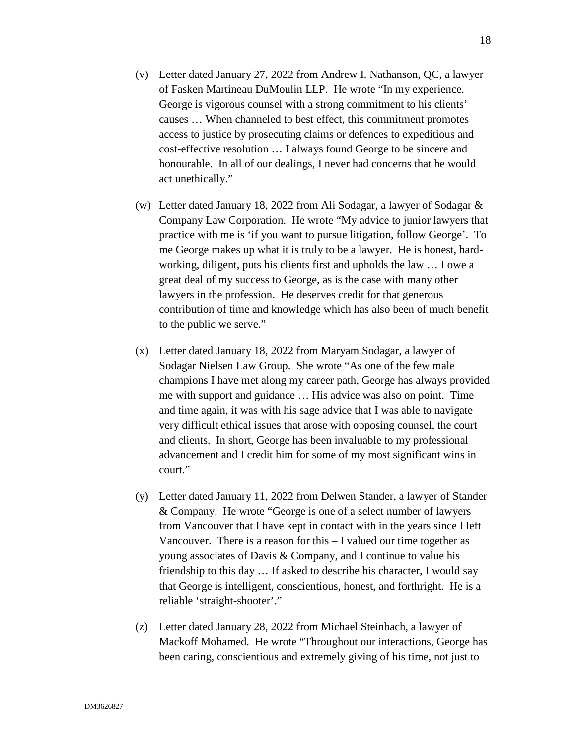- (v) Letter dated January 27, 2022 from Andrew I. Nathanson, QC, a lawyer of Fasken Martineau DuMoulin LLP. He wrote "In my experience. George is vigorous counsel with a strong commitment to his clients' causes … When channeled to best effect, this commitment promotes access to justice by prosecuting claims or defences to expeditious and cost-effective resolution … I always found George to be sincere and honourable. In all of our dealings, I never had concerns that he would act unethically."
- (w) Letter dated January 18, 2022 from Ali Sodagar, a lawyer of Sodagar & Company Law Corporation. He wrote "My advice to junior lawyers that practice with me is 'if you want to pursue litigation, follow George'. To me George makes up what it is truly to be a lawyer. He is honest, hardworking, diligent, puts his clients first and upholds the law … I owe a great deal of my success to George, as is the case with many other lawyers in the profession. He deserves credit for that generous contribution of time and knowledge which has also been of much benefit to the public we serve."
- (x) Letter dated January 18, 2022 from Maryam Sodagar, a lawyer of Sodagar Nielsen Law Group. She wrote "As one of the few male champions I have met along my career path, George has always provided me with support and guidance … His advice was also on point. Time and time again, it was with his sage advice that I was able to navigate very difficult ethical issues that arose with opposing counsel, the court and clients. In short, George has been invaluable to my professional advancement and I credit him for some of my most significant wins in court."
- (y) Letter dated January 11, 2022 from Delwen Stander, a lawyer of Stander & Company. He wrote "George is one of a select number of lawyers from Vancouver that I have kept in contact with in the years since I left Vancouver. There is a reason for this – I valued our time together as young associates of Davis & Company, and I continue to value his friendship to this day … If asked to describe his character, I would say that George is intelligent, conscientious, honest, and forthright. He is a reliable 'straight-shooter'."
- (z) Letter dated January 28, 2022 from Michael Steinbach, a lawyer of Mackoff Mohamed. He wrote "Throughout our interactions, George has been caring, conscientious and extremely giving of his time, not just to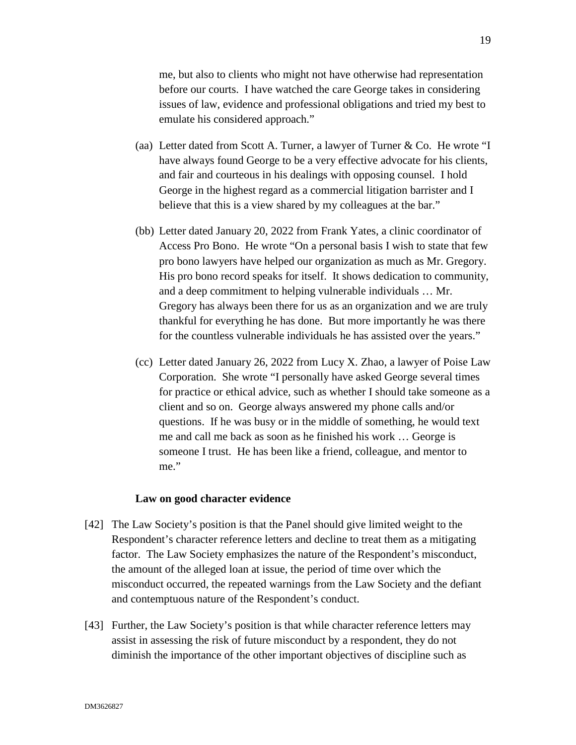me, but also to clients who might not have otherwise had representation before our courts. I have watched the care George takes in considering issues of law, evidence and professional obligations and tried my best to emulate his considered approach."

- (aa) Letter dated from Scott A. Turner, a lawyer of Turner & Co. He wrote "I have always found George to be a very effective advocate for his clients, and fair and courteous in his dealings with opposing counsel. I hold George in the highest regard as a commercial litigation barrister and I believe that this is a view shared by my colleagues at the bar."
- (bb) Letter dated January 20, 2022 from Frank Yates, a clinic coordinator of Access Pro Bono. He wrote "On a personal basis I wish to state that few pro bono lawyers have helped our organization as much as Mr. Gregory. His pro bono record speaks for itself. It shows dedication to community, and a deep commitment to helping vulnerable individuals … Mr. Gregory has always been there for us as an organization and we are truly thankful for everything he has done. But more importantly he was there for the countless vulnerable individuals he has assisted over the years."
- (cc) Letter dated January 26, 2022 from Lucy X. Zhao, a lawyer of Poise Law Corporation. She wrote "I personally have asked George several times for practice or ethical advice, such as whether I should take someone as a client and so on. George always answered my phone calls and/or questions. If he was busy or in the middle of something, he would text me and call me back as soon as he finished his work … George is someone I trust. He has been like a friend, colleague, and mentor to me."

#### **Law on good character evidence**

- [42] The Law Society's position is that the Panel should give limited weight to the Respondent's character reference letters and decline to treat them as a mitigating factor. The Law Society emphasizes the nature of the Respondent's misconduct, the amount of the alleged loan at issue, the period of time over which the misconduct occurred, the repeated warnings from the Law Society and the defiant and contemptuous nature of the Respondent's conduct.
- [43] Further, the Law Society's position is that while character reference letters may assist in assessing the risk of future misconduct by a respondent, they do not diminish the importance of the other important objectives of discipline such as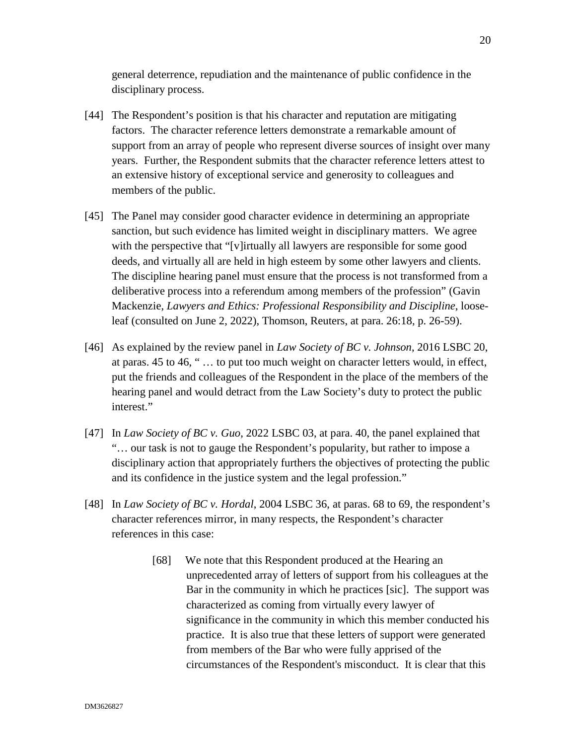general deterrence, repudiation and the maintenance of public confidence in the disciplinary process.

- [44] The Respondent's position is that his character and reputation are mitigating factors. The character reference letters demonstrate a remarkable amount of support from an array of people who represent diverse sources of insight over many years. Further, the Respondent submits that the character reference letters attest to an extensive history of exceptional service and generosity to colleagues and members of the public.
- [45] The Panel may consider good character evidence in determining an appropriate sanction, but such evidence has limited weight in disciplinary matters. We agree with the perspective that "[v]irtually all lawyers are responsible for some good deeds, and virtually all are held in high esteem by some other lawyers and clients. The discipline hearing panel must ensure that the process is not transformed from a deliberative process into a referendum among members of the profession" (Gavin Mackenzie, *Lawyers and Ethics: Professional Responsibility and Discipline*, looseleaf (consulted on June 2, 2022), Thomson, Reuters, at para. 26:18, p. 26-59).
- [46] As explained by the review panel in *Law Society of BC v. Johnson*, 2016 LSBC 20, at paras. 45 to 46, " … to put too much weight on character letters would, in effect, put the friends and colleagues of the Respondent in the place of the members of the hearing panel and would detract from the Law Society's duty to protect the public interest."
- [47] In *Law Society of BC v. Guo*, 2022 LSBC 03, at para. 40, the panel explained that "… our task is not to gauge the Respondent's popularity, but rather to impose a disciplinary action that appropriately furthers the objectives of protecting the public and its confidence in the justice system and the legal profession."
- [48] In *Law Society of BC v. Hordal*, 2004 LSBC 36, at paras. 68 to 69, the respondent's character references mirror, in many respects, the Respondent's character references in this case:
	- [68] We note that this Respondent produced at the Hearing an unprecedented array of letters of support from his colleagues at the Bar in the community in which he practices [sic]. The support was characterized as coming from virtually every lawyer of significance in the community in which this member conducted his practice. It is also true that these letters of support were generated from members of the Bar who were fully apprised of the circumstances of the Respondent's misconduct. It is clear that this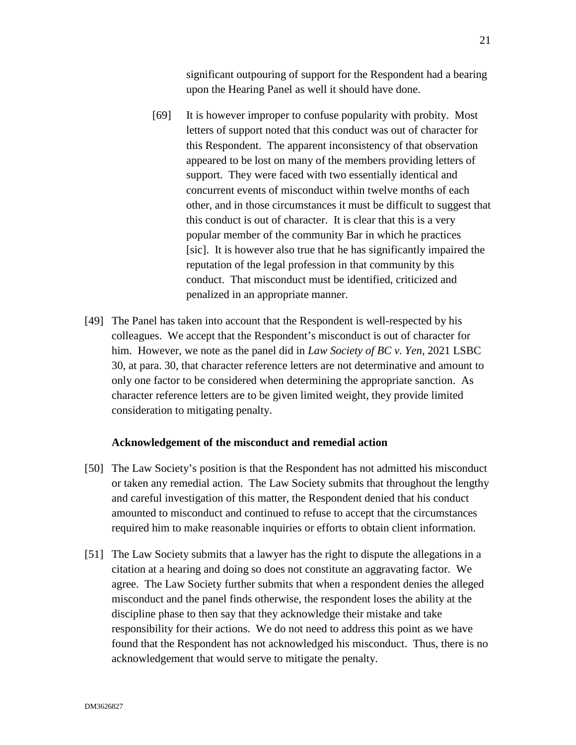significant outpouring of support for the Respondent had a bearing upon the Hearing Panel as well it should have done.

- [69] It is however improper to confuse popularity with probity. Most letters of support noted that this conduct was out of character for this Respondent. The apparent inconsistency of that observation appeared to be lost on many of the members providing letters of support. They were faced with two essentially identical and concurrent events of misconduct within twelve months of each other, and in those circumstances it must be difficult to suggest that this conduct is out of character. It is clear that this is a very popular member of the community Bar in which he practices [sic]. It is however also true that he has significantly impaired the reputation of the legal profession in that community by this conduct. That misconduct must be identified, criticized and penalized in an appropriate manner.
- [49] The Panel has taken into account that the Respondent is well-respected by his colleagues. We accept that the Respondent's misconduct is out of character for him. However, we note as the panel did in *Law Society of BC v. Yen*, 2021 LSBC 30, at para. 30, that character reference letters are not determinative and amount to only one factor to be considered when determining the appropriate sanction. As character reference letters are to be given limited weight, they provide limited consideration to mitigating penalty.

#### **Acknowledgement of the misconduct and remedial action**

- [50] The Law Society's position is that the Respondent has not admitted his misconduct or taken any remedial action. The Law Society submits that throughout the lengthy and careful investigation of this matter, the Respondent denied that his conduct amounted to misconduct and continued to refuse to accept that the circumstances required him to make reasonable inquiries or efforts to obtain client information.
- [51] The Law Society submits that a lawyer has the right to dispute the allegations in a citation at a hearing and doing so does not constitute an aggravating factor. We agree. The Law Society further submits that when a respondent denies the alleged misconduct and the panel finds otherwise, the respondent loses the ability at the discipline phase to then say that they acknowledge their mistake and take responsibility for their actions. We do not need to address this point as we have found that the Respondent has not acknowledged his misconduct. Thus, there is no acknowledgement that would serve to mitigate the penalty.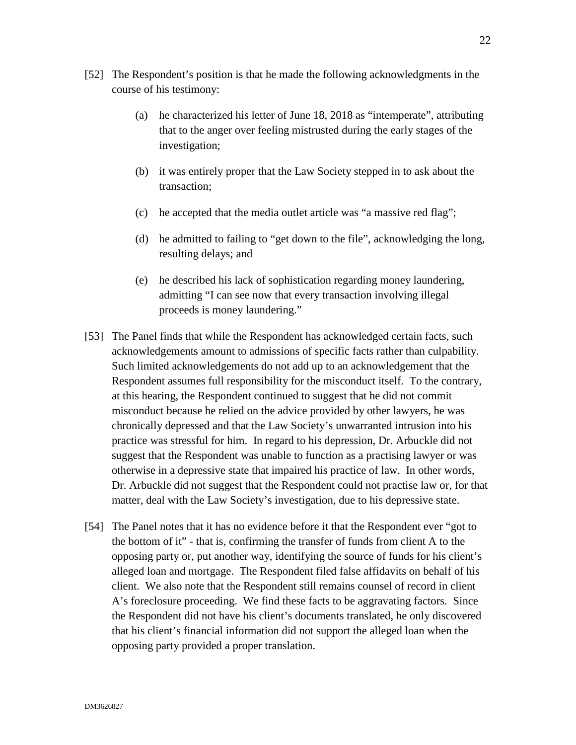- [52] The Respondent's position is that he made the following acknowledgments in the course of his testimony:
	- (a) he characterized his letter of June 18, 2018 as "intemperate", attributing that to the anger over feeling mistrusted during the early stages of the investigation;
	- (b) it was entirely proper that the Law Society stepped in to ask about the transaction;
	- (c) he accepted that the media outlet article was "a massive red flag";
	- (d) he admitted to failing to "get down to the file", acknowledging the long, resulting delays; and
	- (e) he described his lack of sophistication regarding money laundering, admitting "I can see now that every transaction involving illegal proceeds is money laundering."
- [53] The Panel finds that while the Respondent has acknowledged certain facts, such acknowledgements amount to admissions of specific facts rather than culpability. Such limited acknowledgements do not add up to an acknowledgement that the Respondent assumes full responsibility for the misconduct itself. To the contrary, at this hearing, the Respondent continued to suggest that he did not commit misconduct because he relied on the advice provided by other lawyers, he was chronically depressed and that the Law Society's unwarranted intrusion into his practice was stressful for him. In regard to his depression, Dr. Arbuckle did not suggest that the Respondent was unable to function as a practising lawyer or was otherwise in a depressive state that impaired his practice of law. In other words, Dr. Arbuckle did not suggest that the Respondent could not practise law or, for that matter, deal with the Law Society's investigation, due to his depressive state.
- [54] The Panel notes that it has no evidence before it that the Respondent ever "got to the bottom of it" - that is, confirming the transfer of funds from client A to the opposing party or, put another way, identifying the source of funds for his client's alleged loan and mortgage. The Respondent filed false affidavits on behalf of his client. We also note that the Respondent still remains counsel of record in client A's foreclosure proceeding. We find these facts to be aggravating factors. Since the Respondent did not have his client's documents translated, he only discovered that his client's financial information did not support the alleged loan when the opposing party provided a proper translation.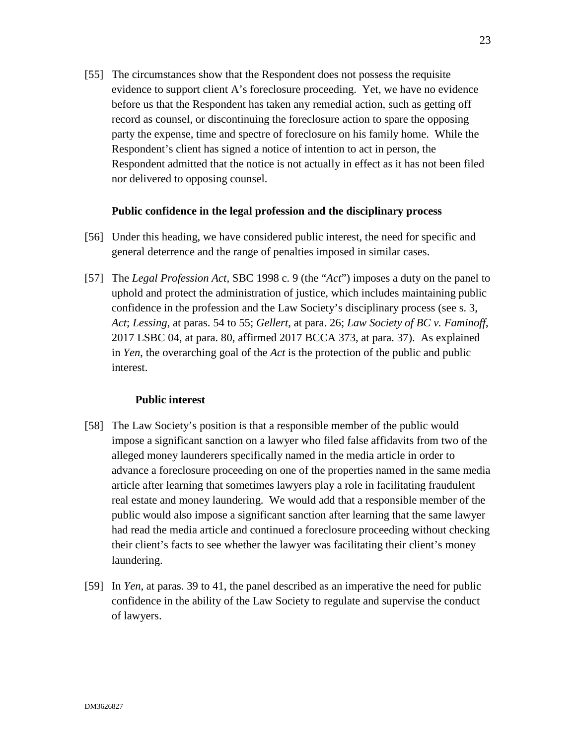[55] The circumstances show that the Respondent does not possess the requisite evidence to support client A's foreclosure proceeding. Yet, we have no evidence before us that the Respondent has taken any remedial action, such as getting off record as counsel, or discontinuing the foreclosure action to spare the opposing party the expense, time and spectre of foreclosure on his family home. While the Respondent's client has signed a notice of intention to act in person, the Respondent admitted that the notice is not actually in effect as it has not been filed nor delivered to opposing counsel.

### **Public confidence in the legal profession and the disciplinary process**

- [56] Under this heading, we have considered public interest, the need for specific and general deterrence and the range of penalties imposed in similar cases.
- [57] The *Legal Profession Act,* SBC 1998 c. 9 (the "*Act*") imposes a duty on the panel to uphold and protect the administration of justice, which includes maintaining public confidence in the profession and the Law Society's disciplinary process (see s. 3, *Act*; *Lessing*, at paras. 54 to 55; *Gellert*, at para. 26; *Law Society of BC v. Faminoff*, 2017 LSBC 04, at para. 80, affirmed 2017 BCCA 373, at para. 37). As explained in *Yen*, the overarching goal of the *Act* is the protection of the public and public interest.

### **Public interest**

- [58] The Law Society's position is that a responsible member of the public would impose a significant sanction on a lawyer who filed false affidavits from two of the alleged money launderers specifically named in the media article in order to advance a foreclosure proceeding on one of the properties named in the same media article after learning that sometimes lawyers play a role in facilitating fraudulent real estate and money laundering. We would add that a responsible member of the public would also impose a significant sanction after learning that the same lawyer had read the media article and continued a foreclosure proceeding without checking their client's facts to see whether the lawyer was facilitating their client's money laundering.
- [59] In *Yen*, at paras. 39 to 41, the panel described as an imperative the need for public confidence in the ability of the Law Society to regulate and supervise the conduct of lawyers.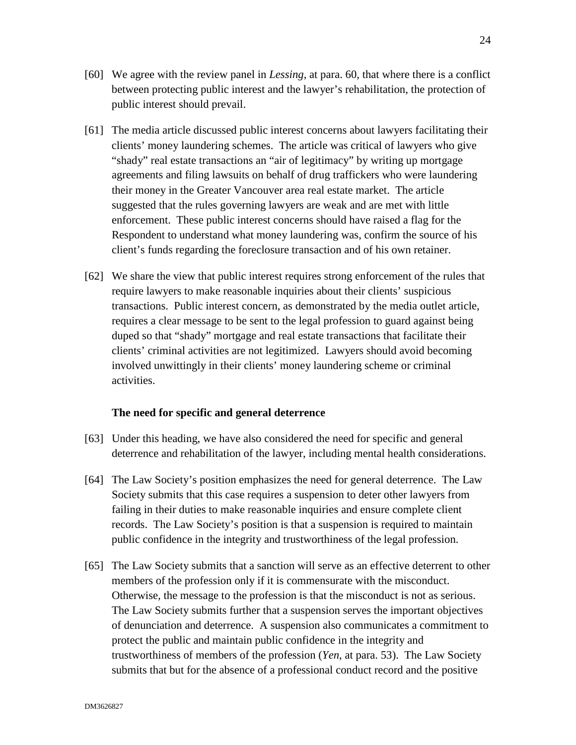- [60] We agree with the review panel in *Lessing*, at para. 60, that where there is a conflict between protecting public interest and the lawyer's rehabilitation, the protection of public interest should prevail.
- [61] The media article discussed public interest concerns about lawyers facilitating their clients' money laundering schemes. The article was critical of lawyers who give "shady" real estate transactions an "air of legitimacy" by writing up mortgage agreements and filing lawsuits on behalf of drug traffickers who were laundering their money in the Greater Vancouver area real estate market. The article suggested that the rules governing lawyers are weak and are met with little enforcement. These public interest concerns should have raised a flag for the Respondent to understand what money laundering was, confirm the source of his client's funds regarding the foreclosure transaction and of his own retainer.
- [62] We share the view that public interest requires strong enforcement of the rules that require lawyers to make reasonable inquiries about their clients' suspicious transactions. Public interest concern, as demonstrated by the media outlet article, requires a clear message to be sent to the legal profession to guard against being duped so that "shady" mortgage and real estate transactions that facilitate their clients' criminal activities are not legitimized. Lawyers should avoid becoming involved unwittingly in their clients' money laundering scheme or criminal activities.

#### **The need for specific and general deterrence**

- [63] Under this heading, we have also considered the need for specific and general deterrence and rehabilitation of the lawyer, including mental health considerations.
- [64] The Law Society's position emphasizes the need for general deterrence. The Law Society submits that this case requires a suspension to deter other lawyers from failing in their duties to make reasonable inquiries and ensure complete client records. The Law Society's position is that a suspension is required to maintain public confidence in the integrity and trustworthiness of the legal profession.
- [65] The Law Society submits that a sanction will serve as an effective deterrent to other members of the profession only if it is commensurate with the misconduct. Otherwise, the message to the profession is that the misconduct is not as serious. The Law Society submits further that a suspension serves the important objectives of denunciation and deterrence. A suspension also communicates a commitment to protect the public and maintain public confidence in the integrity and trustworthiness of members of the profession (*Yen*, at para. 53). The Law Society submits that but for the absence of a professional conduct record and the positive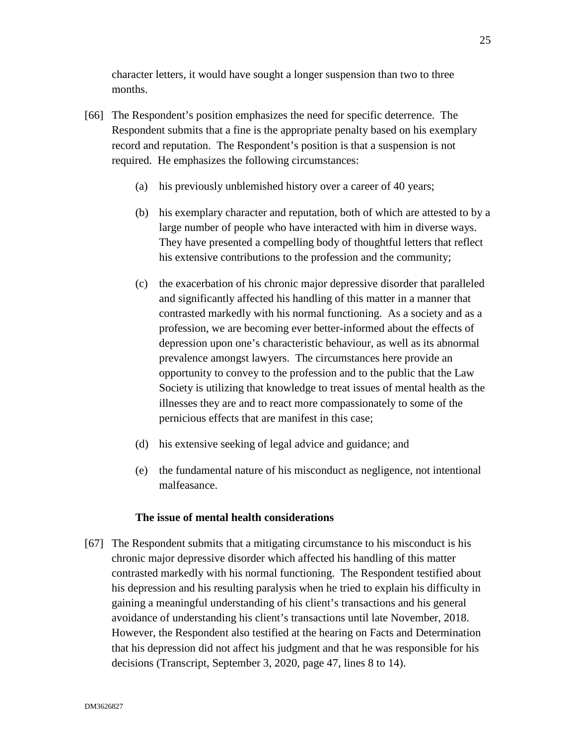character letters, it would have sought a longer suspension than two to three months.

- [66] The Respondent's position emphasizes the need for specific deterrence. The Respondent submits that a fine is the appropriate penalty based on his exemplary record and reputation. The Respondent's position is that a suspension is not required. He emphasizes the following circumstances:
	- (a) his previously unblemished history over a career of 40 years;
	- (b) his exemplary character and reputation, both of which are attested to by a large number of people who have interacted with him in diverse ways. They have presented a compelling body of thoughtful letters that reflect his extensive contributions to the profession and the community;
	- (c) the exacerbation of his chronic major depressive disorder that paralleled and significantly affected his handling of this matter in a manner that contrasted markedly with his normal functioning. As a society and as a profession, we are becoming ever better-informed about the effects of depression upon one's characteristic behaviour, as well as its abnormal prevalence amongst lawyers. The circumstances here provide an opportunity to convey to the profession and to the public that the Law Society is utilizing that knowledge to treat issues of mental health as the illnesses they are and to react more compassionately to some of the pernicious effects that are manifest in this case;
	- (d) his extensive seeking of legal advice and guidance; and
	- (e) the fundamental nature of his misconduct as negligence, not intentional malfeasance.

### **The issue of mental health considerations**

[67] The Respondent submits that a mitigating circumstance to his misconduct is his chronic major depressive disorder which affected his handling of this matter contrasted markedly with his normal functioning. The Respondent testified about his depression and his resulting paralysis when he tried to explain his difficulty in gaining a meaningful understanding of his client's transactions and his general avoidance of understanding his client's transactions until late November, 2018. However, the Respondent also testified at the hearing on Facts and Determination that his depression did not affect his judgment and that he was responsible for his decisions (Transcript, September 3, 2020, page 47, lines 8 to 14).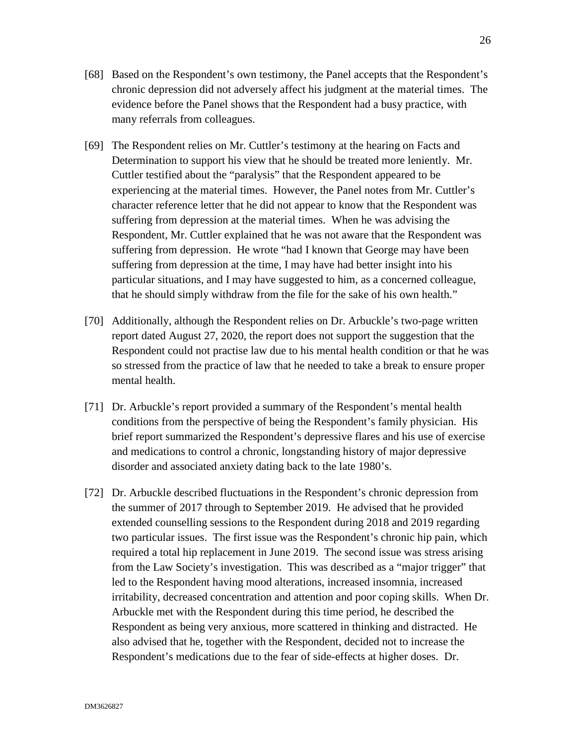- [68] Based on the Respondent's own testimony, the Panel accepts that the Respondent's chronic depression did not adversely affect his judgment at the material times. The evidence before the Panel shows that the Respondent had a busy practice, with many referrals from colleagues.
- [69] The Respondent relies on Mr. Cuttler's testimony at the hearing on Facts and Determination to support his view that he should be treated more leniently. Mr. Cuttler testified about the "paralysis" that the Respondent appeared to be experiencing at the material times. However, the Panel notes from Mr. Cuttler's character reference letter that he did not appear to know that the Respondent was suffering from depression at the material times. When he was advising the Respondent, Mr. Cuttler explained that he was not aware that the Respondent was suffering from depression. He wrote "had I known that George may have been suffering from depression at the time, I may have had better insight into his particular situations, and I may have suggested to him, as a concerned colleague, that he should simply withdraw from the file for the sake of his own health."
- [70] Additionally, although the Respondent relies on Dr. Arbuckle's two-page written report dated August 27, 2020, the report does not support the suggestion that the Respondent could not practise law due to his mental health condition or that he was so stressed from the practice of law that he needed to take a break to ensure proper mental health.
- [71] Dr. Arbuckle's report provided a summary of the Respondent's mental health conditions from the perspective of being the Respondent's family physician. His brief report summarized the Respondent's depressive flares and his use of exercise and medications to control a chronic, longstanding history of major depressive disorder and associated anxiety dating back to the late 1980's.
- [72] Dr. Arbuckle described fluctuations in the Respondent's chronic depression from the summer of 2017 through to September 2019. He advised that he provided extended counselling sessions to the Respondent during 2018 and 2019 regarding two particular issues. The first issue was the Respondent's chronic hip pain, which required a total hip replacement in June 2019. The second issue was stress arising from the Law Society's investigation. This was described as a "major trigger" that led to the Respondent having mood alterations, increased insomnia, increased irritability, decreased concentration and attention and poor coping skills. When Dr. Arbuckle met with the Respondent during this time period, he described the Respondent as being very anxious, more scattered in thinking and distracted. He also advised that he, together with the Respondent, decided not to increase the Respondent's medications due to the fear of side-effects at higher doses. Dr.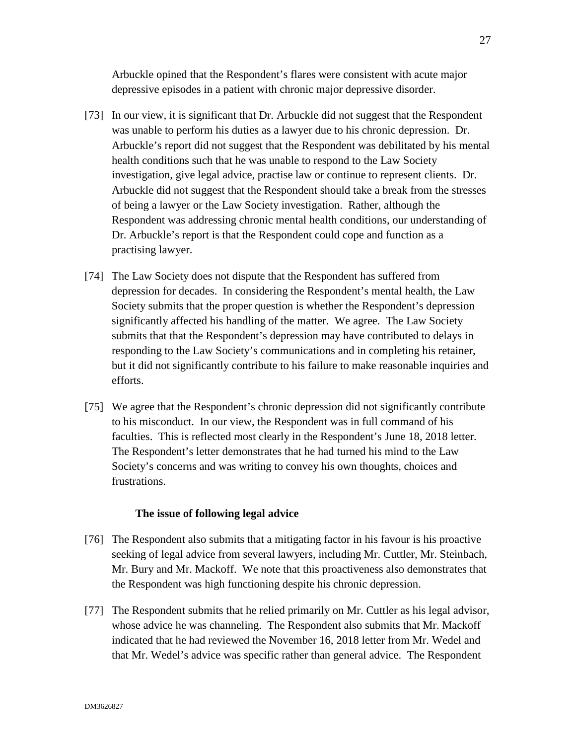Arbuckle opined that the Respondent's flares were consistent with acute major depressive episodes in a patient with chronic major depressive disorder.

- [73] In our view, it is significant that Dr. Arbuckle did not suggest that the Respondent was unable to perform his duties as a lawyer due to his chronic depression. Dr. Arbuckle's report did not suggest that the Respondent was debilitated by his mental health conditions such that he was unable to respond to the Law Society investigation, give legal advice, practise law or continue to represent clients. Dr. Arbuckle did not suggest that the Respondent should take a break from the stresses of being a lawyer or the Law Society investigation. Rather, although the Respondent was addressing chronic mental health conditions, our understanding of Dr. Arbuckle's report is that the Respondent could cope and function as a practising lawyer.
- [74] The Law Society does not dispute that the Respondent has suffered from depression for decades. In considering the Respondent's mental health, the Law Society submits that the proper question is whether the Respondent's depression significantly affected his handling of the matter. We agree. The Law Society submits that that the Respondent's depression may have contributed to delays in responding to the Law Society's communications and in completing his retainer, but it did not significantly contribute to his failure to make reasonable inquiries and efforts.
- [75] We agree that the Respondent's chronic depression did not significantly contribute to his misconduct. In our view, the Respondent was in full command of his faculties. This is reflected most clearly in the Respondent's June 18, 2018 letter. The Respondent's letter demonstrates that he had turned his mind to the Law Society's concerns and was writing to convey his own thoughts, choices and frustrations.

### **The issue of following legal advice**

- [76] The Respondent also submits that a mitigating factor in his favour is his proactive seeking of legal advice from several lawyers, including Mr. Cuttler, Mr. Steinbach, Mr. Bury and Mr. Mackoff. We note that this proactiveness also demonstrates that the Respondent was high functioning despite his chronic depression.
- [77] The Respondent submits that he relied primarily on Mr. Cuttler as his legal advisor, whose advice he was channeling. The Respondent also submits that Mr. Mackoff indicated that he had reviewed the November 16, 2018 letter from Mr. Wedel and that Mr. Wedel's advice was specific rather than general advice. The Respondent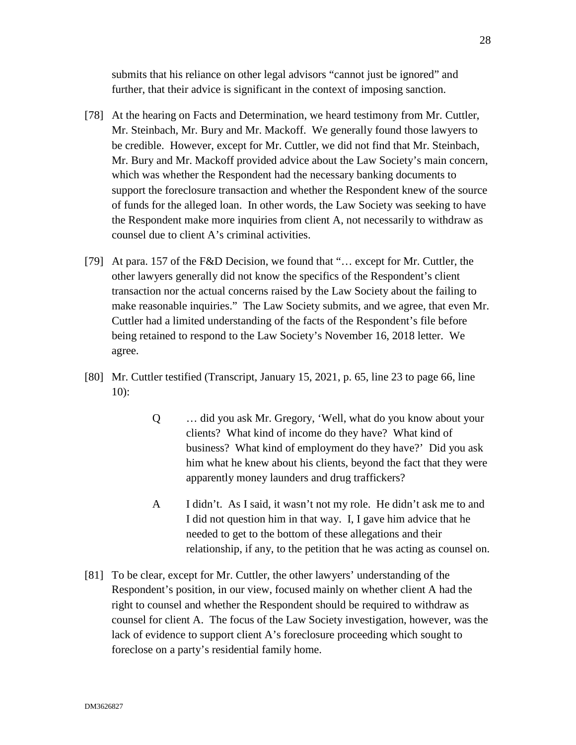submits that his reliance on other legal advisors "cannot just be ignored" and further, that their advice is significant in the context of imposing sanction.

- [78] At the hearing on Facts and Determination, we heard testimony from Mr. Cuttler, Mr. Steinbach, Mr. Bury and Mr. Mackoff. We generally found those lawyers to be credible. However, except for Mr. Cuttler, we did not find that Mr. Steinbach, Mr. Bury and Mr. Mackoff provided advice about the Law Society's main concern, which was whether the Respondent had the necessary banking documents to support the foreclosure transaction and whether the Respondent knew of the source of funds for the alleged loan. In other words, the Law Society was seeking to have the Respondent make more inquiries from client A, not necessarily to withdraw as counsel due to client A's criminal activities.
- [79] At para. 157 of the F&D Decision, we found that "... except for Mr. Cuttler, the other lawyers generally did not know the specifics of the Respondent's client transaction nor the actual concerns raised by the Law Society about the failing to make reasonable inquiries." The Law Society submits, and we agree, that even Mr. Cuttler had a limited understanding of the facts of the Respondent's file before being retained to respond to the Law Society's November 16, 2018 letter. We agree.
- [80] Mr. Cuttler testified (Transcript, January 15, 2021, p. 65, line 23 to page 66, line 10):
	- Q … did you ask Mr. Gregory, 'Well, what do you know about your clients? What kind of income do they have? What kind of business? What kind of employment do they have?' Did you ask him what he knew about his clients, beyond the fact that they were apparently money launders and drug traffickers?
	- A I didn't. As I said, it wasn't not my role. He didn't ask me to and I did not question him in that way. I, I gave him advice that he needed to get to the bottom of these allegations and their relationship, if any, to the petition that he was acting as counsel on.
- [81] To be clear, except for Mr. Cuttler, the other lawyers' understanding of the Respondent's position, in our view, focused mainly on whether client A had the right to counsel and whether the Respondent should be required to withdraw as counsel for client A. The focus of the Law Society investigation, however, was the lack of evidence to support client A's foreclosure proceeding which sought to foreclose on a party's residential family home.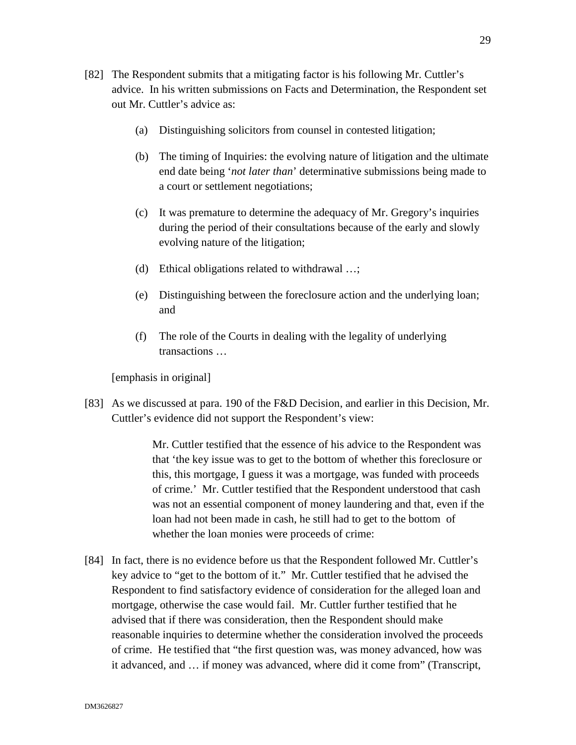- [82] The Respondent submits that a mitigating factor is his following Mr. Cuttler's advice. In his written submissions on Facts and Determination, the Respondent set out Mr. Cuttler's advice as:
	- (a) Distinguishing solicitors from counsel in contested litigation;
	- (b) The timing of Inquiries: the evolving nature of litigation and the ultimate end date being '*not later than*' determinative submissions being made to a court or settlement negotiations;
	- (c) It was premature to determine the adequacy of Mr. Gregory's inquiries during the period of their consultations because of the early and slowly evolving nature of the litigation;
	- (d) Ethical obligations related to withdrawal …;
	- (e) Distinguishing between the foreclosure action and the underlying loan; and
	- (f) The role of the Courts in dealing with the legality of underlying transactions …

[emphasis in original]

[83] As we discussed at para. 190 of the F&D Decision, and earlier in this Decision, Mr. Cuttler's evidence did not support the Respondent's view:

> Mr. Cuttler testified that the essence of his advice to the Respondent was that 'the key issue was to get to the bottom of whether this foreclosure or this, this mortgage, I guess it was a mortgage, was funded with proceeds of crime.' Mr. Cuttler testified that the Respondent understood that cash was not an essential component of money laundering and that, even if the loan had not been made in cash, he still had to get to the bottom of whether the loan monies were proceeds of crime:

[84] In fact, there is no evidence before us that the Respondent followed Mr. Cuttler's key advice to "get to the bottom of it." Mr. Cuttler testified that he advised the Respondent to find satisfactory evidence of consideration for the alleged loan and mortgage, otherwise the case would fail. Mr. Cuttler further testified that he advised that if there was consideration, then the Respondent should make reasonable inquiries to determine whether the consideration involved the proceeds of crime. He testified that "the first question was, was money advanced, how was it advanced, and … if money was advanced, where did it come from" (Transcript,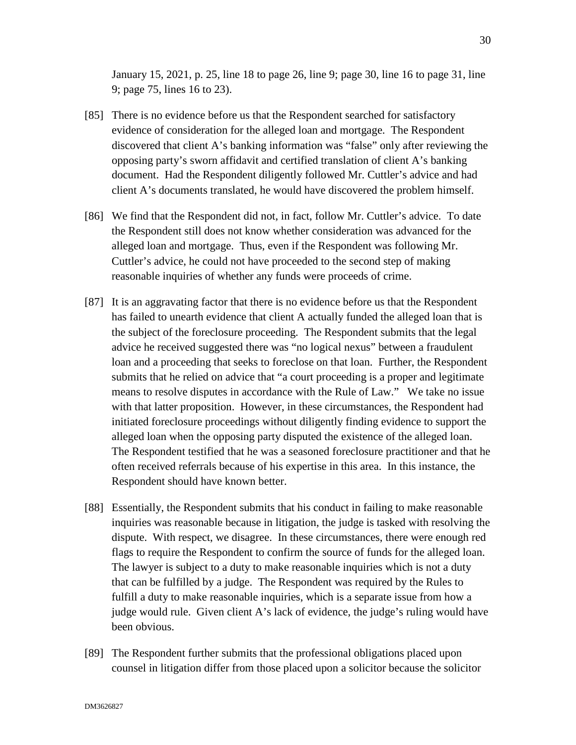January 15, 2021, p. 25, line 18 to page 26, line 9; page 30, line 16 to page 31, line 9; page 75, lines 16 to 23).

- [85] There is no evidence before us that the Respondent searched for satisfactory evidence of consideration for the alleged loan and mortgage. The Respondent discovered that client A's banking information was "false" only after reviewing the opposing party's sworn affidavit and certified translation of client A's banking document. Had the Respondent diligently followed Mr. Cuttler's advice and had client A's documents translated, he would have discovered the problem himself.
- [86] We find that the Respondent did not, in fact, follow Mr. Cuttler's advice. To date the Respondent still does not know whether consideration was advanced for the alleged loan and mortgage. Thus, even if the Respondent was following Mr. Cuttler's advice, he could not have proceeded to the second step of making reasonable inquiries of whether any funds were proceeds of crime.
- [87] It is an aggravating factor that there is no evidence before us that the Respondent has failed to unearth evidence that client A actually funded the alleged loan that is the subject of the foreclosure proceeding. The Respondent submits that the legal advice he received suggested there was "no logical nexus" between a fraudulent loan and a proceeding that seeks to foreclose on that loan. Further, the Respondent submits that he relied on advice that "a court proceeding is a proper and legitimate means to resolve disputes in accordance with the Rule of Law." We take no issue with that latter proposition. However, in these circumstances, the Respondent had initiated foreclosure proceedings without diligently finding evidence to support the alleged loan when the opposing party disputed the existence of the alleged loan. The Respondent testified that he was a seasoned foreclosure practitioner and that he often received referrals because of his expertise in this area. In this instance, the Respondent should have known better.
- [88] Essentially, the Respondent submits that his conduct in failing to make reasonable inquiries was reasonable because in litigation, the judge is tasked with resolving the dispute. With respect, we disagree. In these circumstances, there were enough red flags to require the Respondent to confirm the source of funds for the alleged loan. The lawyer is subject to a duty to make reasonable inquiries which is not a duty that can be fulfilled by a judge. The Respondent was required by the Rules to fulfill a duty to make reasonable inquiries, which is a separate issue from how a judge would rule. Given client A's lack of evidence, the judge's ruling would have been obvious.
- [89] The Respondent further submits that the professional obligations placed upon counsel in litigation differ from those placed upon a solicitor because the solicitor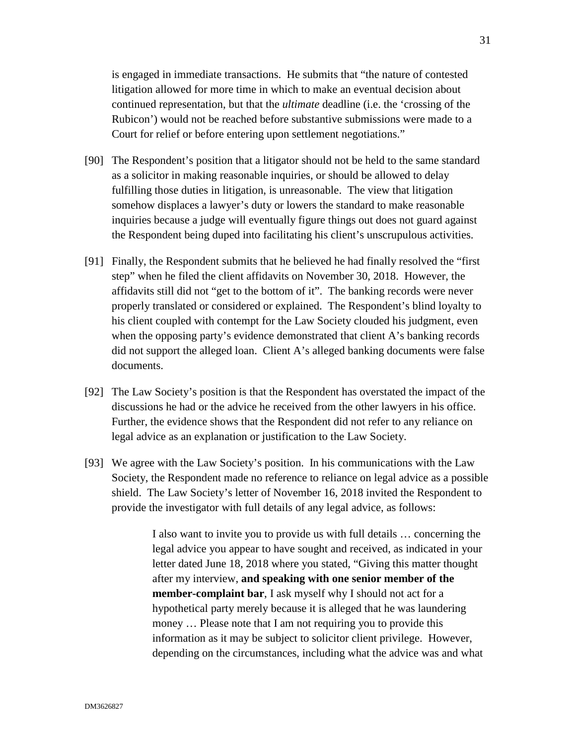is engaged in immediate transactions. He submits that "the nature of contested litigation allowed for more time in which to make an eventual decision about continued representation, but that the *ultimate* deadline (i.e. the 'crossing of the Rubicon') would not be reached before substantive submissions were made to a Court for relief or before entering upon settlement negotiations."

- [90] The Respondent's position that a litigator should not be held to the same standard as a solicitor in making reasonable inquiries, or should be allowed to delay fulfilling those duties in litigation, is unreasonable. The view that litigation somehow displaces a lawyer's duty or lowers the standard to make reasonable inquiries because a judge will eventually figure things out does not guard against the Respondent being duped into facilitating his client's unscrupulous activities.
- [91] Finally, the Respondent submits that he believed he had finally resolved the "first step" when he filed the client affidavits on November 30, 2018. However, the affidavits still did not "get to the bottom of it". The banking records were never properly translated or considered or explained. The Respondent's blind loyalty to his client coupled with contempt for the Law Society clouded his judgment, even when the opposing party's evidence demonstrated that client A's banking records did not support the alleged loan. Client A's alleged banking documents were false documents.
- [92] The Law Society's position is that the Respondent has overstated the impact of the discussions he had or the advice he received from the other lawyers in his office. Further, the evidence shows that the Respondent did not refer to any reliance on legal advice as an explanation or justification to the Law Society.
- [93] We agree with the Law Society's position. In his communications with the Law Society, the Respondent made no reference to reliance on legal advice as a possible shield. The Law Society's letter of November 16, 2018 invited the Respondent to provide the investigator with full details of any legal advice, as follows:

I also want to invite you to provide us with full details … concerning the legal advice you appear to have sought and received, as indicated in your letter dated June 18, 2018 where you stated, "Giving this matter thought after my interview, **and speaking with one senior member of the member-complaint bar**, I ask myself why I should not act for a hypothetical party merely because it is alleged that he was laundering money ... Please note that I am not requiring you to provide this information as it may be subject to solicitor client privilege. However, depending on the circumstances, including what the advice was and what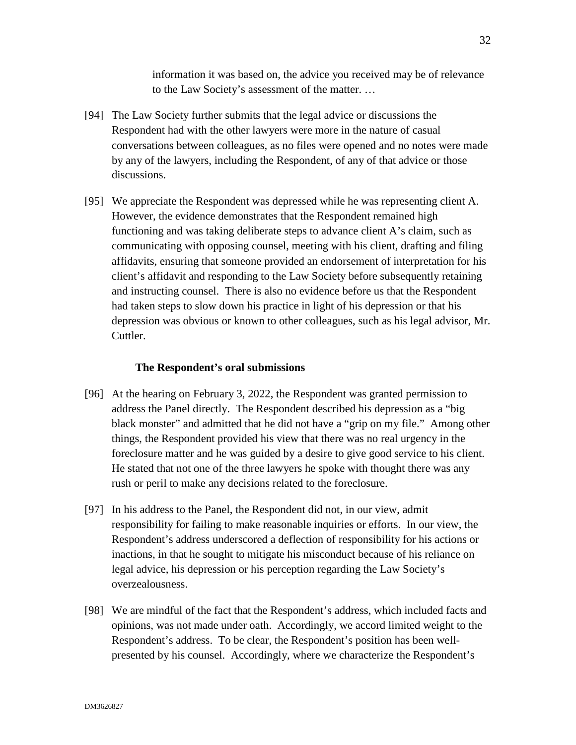information it was based on, the advice you received may be of relevance to the Law Society's assessment of the matter. …

- [94] The Law Society further submits that the legal advice or discussions the Respondent had with the other lawyers were more in the nature of casual conversations between colleagues, as no files were opened and no notes were made by any of the lawyers, including the Respondent, of any of that advice or those discussions.
- [95] We appreciate the Respondent was depressed while he was representing client A. However, the evidence demonstrates that the Respondent remained high functioning and was taking deliberate steps to advance client A's claim, such as communicating with opposing counsel, meeting with his client, drafting and filing affidavits, ensuring that someone provided an endorsement of interpretation for his client's affidavit and responding to the Law Society before subsequently retaining and instructing counsel. There is also no evidence before us that the Respondent had taken steps to slow down his practice in light of his depression or that his depression was obvious or known to other colleagues, such as his legal advisor, Mr. Cuttler.

#### **The Respondent's oral submissions**

- [96] At the hearing on February 3, 2022, the Respondent was granted permission to address the Panel directly. The Respondent described his depression as a "big black monster" and admitted that he did not have a "grip on my file." Among other things, the Respondent provided his view that there was no real urgency in the foreclosure matter and he was guided by a desire to give good service to his client. He stated that not one of the three lawyers he spoke with thought there was any rush or peril to make any decisions related to the foreclosure.
- [97] In his address to the Panel, the Respondent did not, in our view, admit responsibility for failing to make reasonable inquiries or efforts. In our view, the Respondent's address underscored a deflection of responsibility for his actions or inactions, in that he sought to mitigate his misconduct because of his reliance on legal advice, his depression or his perception regarding the Law Society's overzealousness.
- [98] We are mindful of the fact that the Respondent's address, which included facts and opinions, was not made under oath. Accordingly, we accord limited weight to the Respondent's address. To be clear, the Respondent's position has been wellpresented by his counsel. Accordingly, where we characterize the Respondent's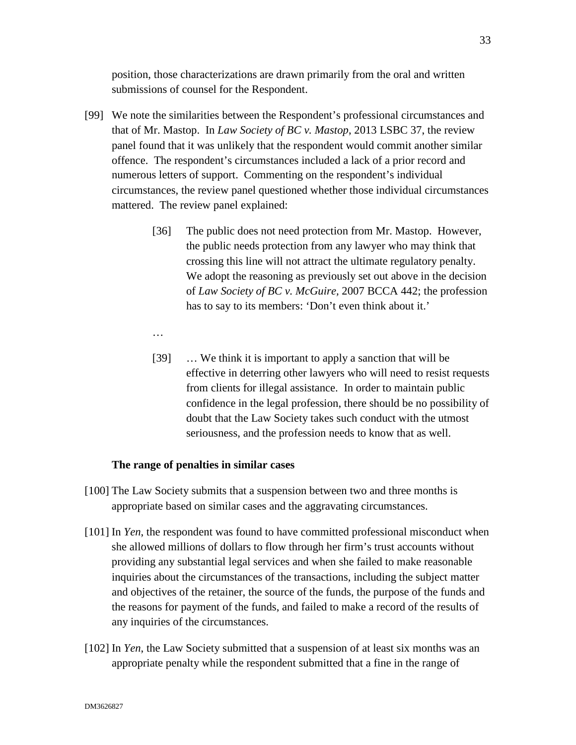position, those characterizations are drawn primarily from the oral and written submissions of counsel for the Respondent.

- [99] We note the similarities between the Respondent's professional circumstances and that of Mr. Mastop. In *Law Society of BC v. Mastop*, 2013 LSBC 37, the review panel found that it was unlikely that the respondent would commit another similar offence. The respondent's circumstances included a lack of a prior record and numerous letters of support. Commenting on the respondent's individual circumstances, the review panel questioned whether those individual circumstances mattered. The review panel explained:
	- [36] The public does not need protection from Mr. Mastop. However, the public needs protection from any lawyer who may think that crossing this line will not attract the ultimate regulatory penalty. We adopt the reasoning as previously set out above in the decision of *Law Society of BC v. McGuire,* 2007 BCCA 442; the profession has to say to its members: 'Don't even think about it.'
	- …
	- [39] … We think it is important to apply a sanction that will be effective in deterring other lawyers who will need to resist requests from clients for illegal assistance. In order to maintain public confidence in the legal profession, there should be no possibility of doubt that the Law Society takes such conduct with the utmost seriousness, and the profession needs to know that as well.

### **The range of penalties in similar cases**

- [100] The Law Society submits that a suspension between two and three months is appropriate based on similar cases and the aggravating circumstances.
- [101] In *Yen*, the respondent was found to have committed professional misconduct when she allowed millions of dollars to flow through her firm's trust accounts without providing any substantial legal services and when she failed to make reasonable inquiries about the circumstances of the transactions, including the subject matter and objectives of the retainer, the source of the funds, the purpose of the funds and the reasons for payment of the funds, and failed to make a record of the results of any inquiries of the circumstances.
- [102] In *Yen*, the Law Society submitted that a suspension of at least six months was an appropriate penalty while the respondent submitted that a fine in the range of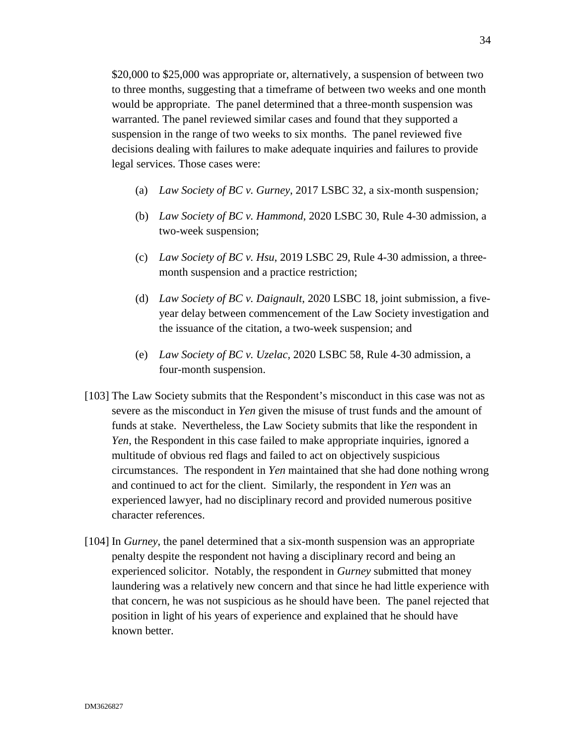\$20,000 to \$25,000 was appropriate or, alternatively, a suspension of between two to three months, suggesting that a timeframe of between two weeks and one month would be appropriate. The panel determined that a three-month suspension was warranted. The panel reviewed similar cases and found that they supported a suspension in the range of two weeks to six months. The panel reviewed five decisions dealing with failures to make adequate inquiries and failures to provide legal services. Those cases were:

- (a) *Law Society of BC v. Gurney*, 2017 LSBC 32, a six-month suspension*;*
- (b) *Law Society of BC v. Hammond*, 2020 LSBC 30, Rule 4-30 admission, a two-week suspension;
- (c) *Law Society of BC v. Hsu*, 2019 LSBC 29, Rule 4-30 admission, a threemonth suspension and a practice restriction;
- (d) *Law Society of BC v. Daignault*, 2020 LSBC 18, joint submission, a fiveyear delay between commencement of the Law Society investigation and the issuance of the citation, a two-week suspension; and
- (e) *Law Society of BC v. Uzelac,* 2020 LSBC 58, Rule 4-30 admission, a four-month suspension.
- [103] The Law Society submits that the Respondent's misconduct in this case was not as severe as the misconduct in *Yen* given the misuse of trust funds and the amount of funds at stake. Nevertheless, the Law Society submits that like the respondent in *Yen*, the Respondent in this case failed to make appropriate inquiries, ignored a multitude of obvious red flags and failed to act on objectively suspicious circumstances. The respondent in *Yen* maintained that she had done nothing wrong and continued to act for the client. Similarly, the respondent in *Yen* was an experienced lawyer, had no disciplinary record and provided numerous positive character references.
- [104] In *Gurney*, the panel determined that a six-month suspension was an appropriate penalty despite the respondent not having a disciplinary record and being an experienced solicitor. Notably, the respondent in *Gurney* submitted that money laundering was a relatively new concern and that since he had little experience with that concern, he was not suspicious as he should have been. The panel rejected that position in light of his years of experience and explained that he should have known better.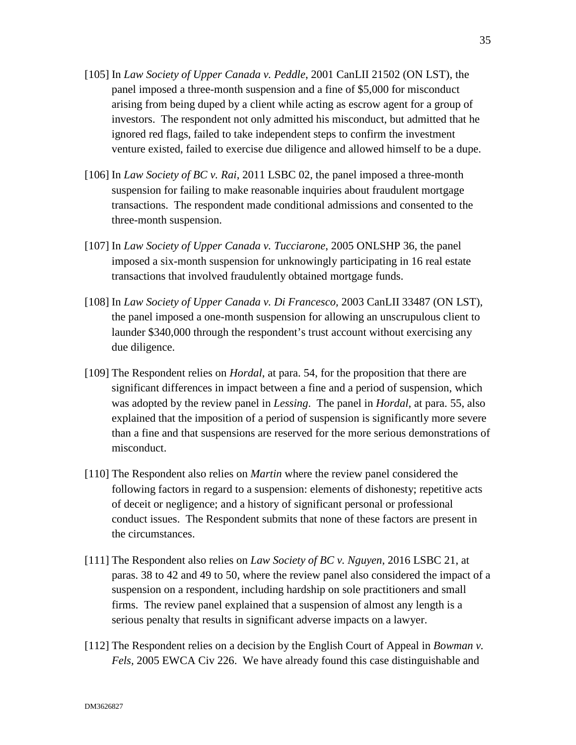- [105] In *Law Society of Upper Canada v. Peddle*, 2001 CanLII 21502 (ON LST), the panel imposed a three-month suspension and a fine of \$5,000 for misconduct arising from being duped by a client while acting as escrow agent for a group of investors. The respondent not only admitted his misconduct, but admitted that he ignored red flags, failed to take independent steps to confirm the investment venture existed, failed to exercise due diligence and allowed himself to be a dupe.
- [106] In *Law Society of BC v. Rai*, 2011 LSBC 02, the panel imposed a three-month suspension for failing to make reasonable inquiries about fraudulent mortgage transactions. The respondent made conditional admissions and consented to the three-month suspension.
- [107] In *Law Society of Upper Canada v. Tucciarone*, 2005 ONLSHP 36, the panel imposed a six-month suspension for unknowingly participating in 16 real estate transactions that involved fraudulently obtained mortgage funds.
- [108] In *Law Society of Upper Canada v. Di Francesco,* 2003 CanLII 33487 (ON LST), the panel imposed a one-month suspension for allowing an unscrupulous client to launder \$340,000 through the respondent's trust account without exercising any due diligence.
- [109] The Respondent relies on *Hordal*, at para. 54, for the proposition that there are significant differences in impact between a fine and a period of suspension, which was adopted by the review panel in *Lessing*. The panel in *Hordal*, at para. 55, also explained that the imposition of a period of suspension is significantly more severe than a fine and that suspensions are reserved for the more serious demonstrations of misconduct.
- [110] The Respondent also relies on *Martin* where the review panel considered the following factors in regard to a suspension: elements of dishonesty; repetitive acts of deceit or negligence; and a history of significant personal or professional conduct issues. The Respondent submits that none of these factors are present in the circumstances.
- [111] The Respondent also relies on *Law Society of BC v. Nguyen*, 2016 LSBC 21, at paras. 38 to 42 and 49 to 50, where the review panel also considered the impact of a suspension on a respondent, including hardship on sole practitioners and small firms. The review panel explained that a suspension of almost any length is a serious penalty that results in significant adverse impacts on a lawyer.
- [112] The Respondent relies on a decision by the English Court of Appeal in *Bowman v. Fels,* 2005 EWCA Civ 226. We have already found this case distinguishable and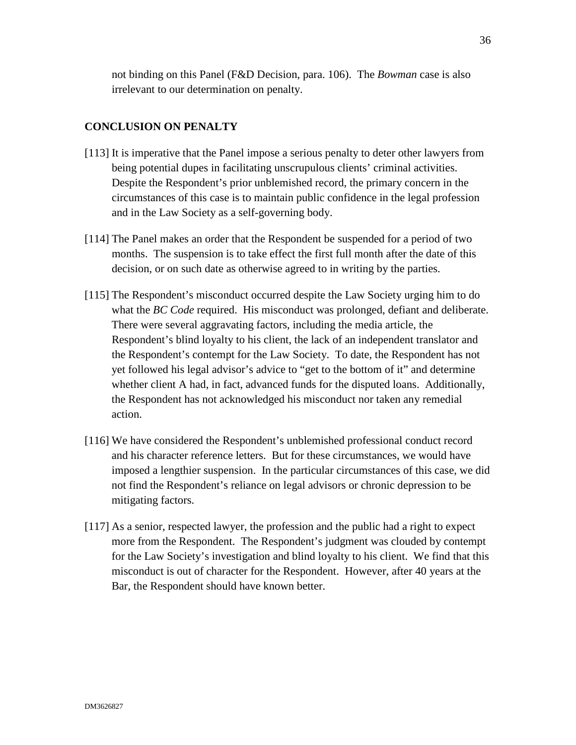not binding on this Panel (F&D Decision, para. 106). The *Bowman* case is also irrelevant to our determination on penalty.

### **CONCLUSION ON PENALTY**

- [113] It is imperative that the Panel impose a serious penalty to deter other lawyers from being potential dupes in facilitating unscrupulous clients' criminal activities. Despite the Respondent's prior unblemished record, the primary concern in the circumstances of this case is to maintain public confidence in the legal profession and in the Law Society as a self-governing body.
- [114] The Panel makes an order that the Respondent be suspended for a period of two months. The suspension is to take effect the first full month after the date of this decision, or on such date as otherwise agreed to in writing by the parties.
- [115] The Respondent's misconduct occurred despite the Law Society urging him to do what the *BC Code* required. His misconduct was prolonged, defiant and deliberate. There were several aggravating factors, including the media article, the Respondent's blind loyalty to his client, the lack of an independent translator and the Respondent's contempt for the Law Society. To date, the Respondent has not yet followed his legal advisor's advice to "get to the bottom of it" and determine whether client A had, in fact, advanced funds for the disputed loans. Additionally, the Respondent has not acknowledged his misconduct nor taken any remedial action.
- [116] We have considered the Respondent's unblemished professional conduct record and his character reference letters. But for these circumstances, we would have imposed a lengthier suspension. In the particular circumstances of this case, we did not find the Respondent's reliance on legal advisors or chronic depression to be mitigating factors.
- [117] As a senior, respected lawyer, the profession and the public had a right to expect more from the Respondent. The Respondent's judgment was clouded by contempt for the Law Society's investigation and blind loyalty to his client. We find that this misconduct is out of character for the Respondent. However, after 40 years at the Bar, the Respondent should have known better.